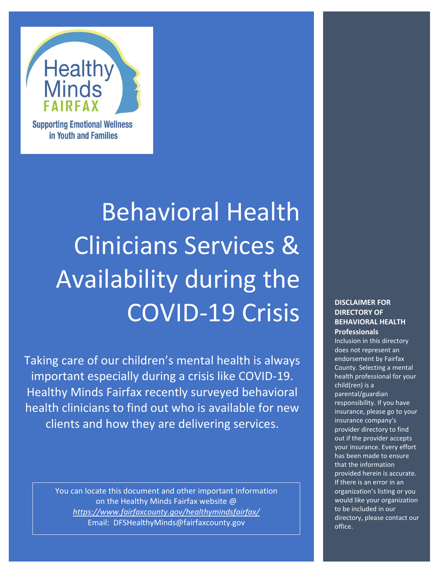

**Supporting Emotional Wellness** in Youth and Families

# Behavioral Health Clinicians Services & Availability during the COVID-19 Crisis

Taking care of our children's mental health is always important especially during a crisis like COVID-19. Healthy Minds Fairfax recently surveyed behavioral health clinicians to find out who is available for new clients and how they are delivering services.

> You can locate this document and other important information on the Healthy Minds Fairfax website @ *<https://www.fairfaxcounty.gov/healthymindsfairfax/>* Email: DFSHealthyMinds@fairfaxcounty.gov

#### **DISCLAIMER FOR DIRECTORY OF BEHAVIORAL HEALTH Professionals**

Inclusion in this directory does not represent an endorsement by Fairfax County. Selecting a mental health professional for your child(ren) is a parental/guardian responsibility. If you have insurance, please go to your insurance company's provider directory to find out if the provider accepts your insurance. Every effort has been made to ensure that the information provided herein is accurate. If there is an error in an organization's listing or you would like your organization to be included in our directory, please [contact our](mailto:DFSHealthyMinds@fairfaxcounty.gov)  [office.](mailto:DFSHealthyMinds@fairfaxcounty.gov)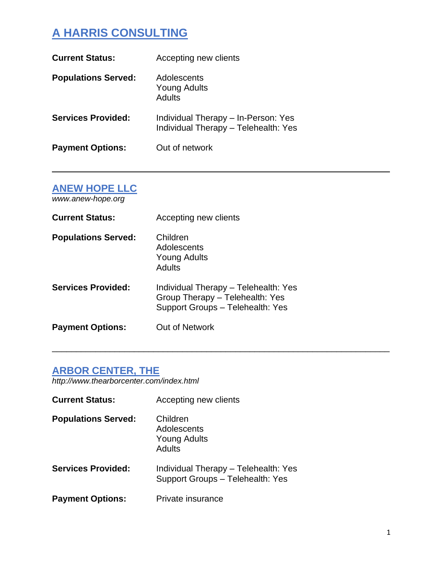# **A HARRIS CONSULTING**

| <b>Current Status:</b>     | Accepting new clients                                                       |
|----------------------------|-----------------------------------------------------------------------------|
| <b>Populations Served:</b> | Adolescents<br><b>Young Adults</b><br><b>Adults</b>                         |
| <b>Services Provided:</b>  | Individual Therapy - In-Person: Yes<br>Individual Therapy - Telehealth: Yes |
| <b>Payment Options:</b>    | Out of network                                                              |

 $\_$  , and the set of the set of the set of the set of the set of the set of the set of the set of the set of the set of the set of the set of the set of the set of the set of the set of the set of the set of the set of th

\_\_\_\_\_\_\_\_\_\_\_\_\_\_\_\_\_\_\_\_\_\_\_\_\_\_\_\_\_\_\_\_\_\_\_\_\_\_\_\_\_\_\_\_\_\_\_\_\_\_\_\_\_\_\_\_\_\_\_\_\_\_\_\_\_\_\_\_\_\_

#### **ANEW HOPE LLC**

*www.anew-hope.org*

| <b>Current Status:</b>     | Accepting new clients                                                                                       |
|----------------------------|-------------------------------------------------------------------------------------------------------------|
| <b>Populations Served:</b> | Children<br>Adolescents<br><b>Young Adults</b><br>Adults                                                    |
| <b>Services Provided:</b>  | Individual Therapy - Telehealth: Yes<br>Group Therapy - Telehealth: Yes<br>Support Groups - Telehealth: Yes |
| <b>Payment Options:</b>    | Out of Network                                                                                              |

# **ARBOR CENTER, THE**

*http://www.thearborcenter.com/index.html*

| <b>Current Status:</b>     | Accepting new clients                                                    |
|----------------------------|--------------------------------------------------------------------------|
| <b>Populations Served:</b> | Children<br>Adolescents<br><b>Young Adults</b><br>Adults                 |
| <b>Services Provided:</b>  | Individual Therapy - Telehealth: Yes<br>Support Groups - Telehealth: Yes |
| <b>Payment Options:</b>    | Private insurance                                                        |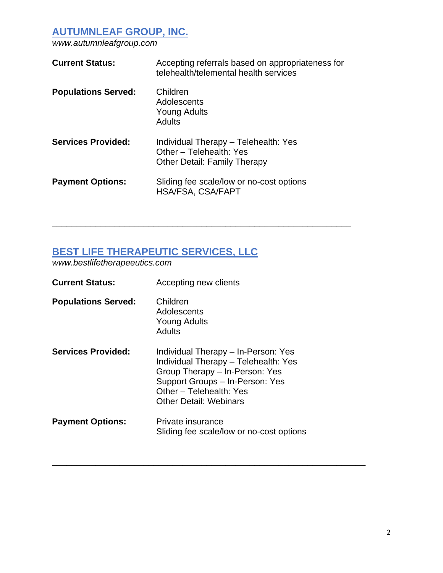**AUTUMNLEAF GROUP, INC.**

*[www.autumnleafgroup.com](http://www.autumnleafgroup.com/)*

| <b>Current Status:</b>     | Accepting referrals based on appropriateness for<br>telehealth/telemental health services              |
|----------------------------|--------------------------------------------------------------------------------------------------------|
| <b>Populations Served:</b> | Children<br>Adolescents<br><b>Young Adults</b><br><b>Adults</b>                                        |
| <b>Services Provided:</b>  | Individual Therapy - Telehealth: Yes<br>Other - Telehealth: Yes<br><b>Other Detail: Family Therapy</b> |
| <b>Payment Options:</b>    | Sliding fee scale/low or no-cost options<br><b>HSA/FSA, CSA/FAPT</b>                                   |

\_\_\_\_\_\_\_\_\_\_\_\_\_\_\_\_\_\_\_\_\_\_\_\_\_\_\_\_\_\_\_\_\_\_\_\_\_\_\_\_\_\_\_\_\_\_\_\_\_\_\_\_\_\_\_\_\_\_\_\_\_\_

#### **BEST LIFE THERAPEUTIC SERVICES, LLC**

*[www.bestlifetherapeeutics.com](http://www.bestlifetherapeeutics.com/)*

| <b>Current Status:</b>     | Accepting new clients                                                                                                                                                                                 |
|----------------------------|-------------------------------------------------------------------------------------------------------------------------------------------------------------------------------------------------------|
| <b>Populations Served:</b> | Children<br>Adolescents<br><b>Young Adults</b><br><b>Adults</b>                                                                                                                                       |
| <b>Services Provided:</b>  | Individual Therapy – In-Person: Yes<br>Individual Therapy - Telehealth: Yes<br>Group Therapy - In-Person: Yes<br>Support Groups - In-Person: Yes<br>Other - Telehealth: Yes<br>Other Detail: Webinars |
| <b>Payment Options:</b>    | Private insurance<br>Sliding fee scale/low or no-cost options                                                                                                                                         |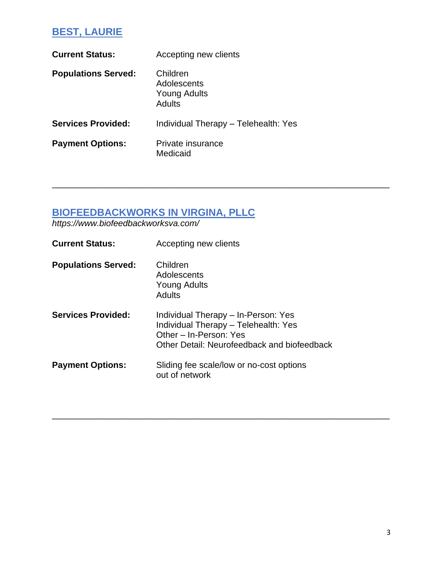# **BEST, LAURIE**

| <b>Current Status:</b>     | Accepting new clients                             |
|----------------------------|---------------------------------------------------|
| <b>Populations Served:</b> | Children<br>Adolescents<br>Young Adults<br>Adults |
| <b>Services Provided:</b>  | Individual Therapy - Telehealth: Yes              |
| <b>Payment Options:</b>    | Private insurance<br>Medicaid                     |

### **BIOFEEDBACKWORKS IN VIRGINA, PLLC**

*https://www.biofeedbackworksva.com/*

| <b>Current Status:</b>     | Accepting new clients                                                                                                                                |
|----------------------------|------------------------------------------------------------------------------------------------------------------------------------------------------|
| <b>Populations Served:</b> | Children<br>Adolescents<br><b>Young Adults</b><br>Adults                                                                                             |
| <b>Services Provided:</b>  | Individual Therapy - In-Person: Yes<br>Individual Therapy - Telehealth: Yes<br>Other - In-Person: Yes<br>Other Detail: Neurofeedback and biofeedback |
| <b>Payment Options:</b>    | Sliding fee scale/low or no-cost options<br>out of network                                                                                           |

\_\_\_\_\_\_\_\_\_\_\_\_\_\_\_\_\_\_\_\_\_\_\_\_\_\_\_\_\_\_\_\_\_\_\_\_\_\_\_\_\_\_\_\_\_\_\_\_\_\_\_\_\_\_\_\_\_\_\_\_\_\_\_\_\_\_\_\_\_\_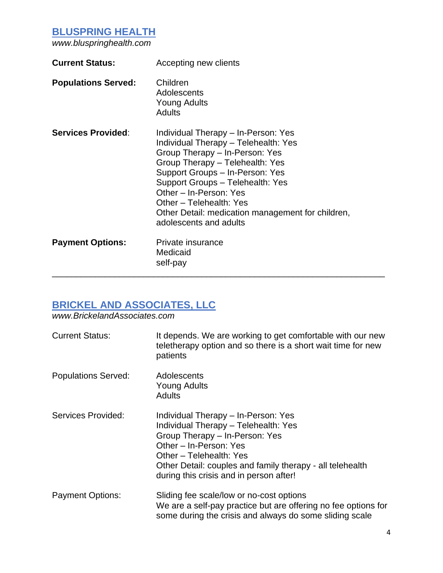## **BLUSPRING HEALTH**

*[www.bluspringhealth.com](http://www.bluspringhealth.com/)*

| <b>Current Status:</b>     | Accepting new clients                                                                                                                                                                                                                                                                                                                                       |
|----------------------------|-------------------------------------------------------------------------------------------------------------------------------------------------------------------------------------------------------------------------------------------------------------------------------------------------------------------------------------------------------------|
| <b>Populations Served:</b> | Children<br>Adolescents<br>Young Adults<br>Adults                                                                                                                                                                                                                                                                                                           |
| <b>Services Provided:</b>  | Individual Therapy – In-Person: Yes<br>Individual Therapy - Telehealth: Yes<br>Group Therapy - In-Person: Yes<br>Group Therapy - Telehealth: Yes<br>Support Groups - In-Person: Yes<br>Support Groups - Telehealth: Yes<br>Other - In-Person: Yes<br>Other - Telehealth: Yes<br>Other Detail: medication management for children,<br>adolescents and adults |
| <b>Payment Options:</b>    | Private insurance<br>Medicaid<br>self-pay                                                                                                                                                                                                                                                                                                                   |

#### **BRICKEL AND ASSOCIATES, LLC**

*www.BrickelandAssociates.com*

| <b>Current Status:</b>     | It depends. We are working to get comfortable with our new<br>teletherapy option and so there is a short wait time for new<br>patients                                                                                                                                     |
|----------------------------|----------------------------------------------------------------------------------------------------------------------------------------------------------------------------------------------------------------------------------------------------------------------------|
| <b>Populations Served:</b> | Adolescents<br><b>Young Adults</b><br>Adults                                                                                                                                                                                                                               |
| Services Provided:         | Individual Therapy - In-Person: Yes<br>Individual Therapy - Telehealth: Yes<br>Group Therapy - In-Person: Yes<br>Other - In-Person: Yes<br>Other - Telehealth: Yes<br>Other Detail: couples and family therapy - all telehealth<br>during this crisis and in person after! |
| <b>Payment Options:</b>    | Sliding fee scale/low or no-cost options<br>We are a self-pay practice but are offering no fee options for<br>some during the crisis and always do some sliding scale                                                                                                      |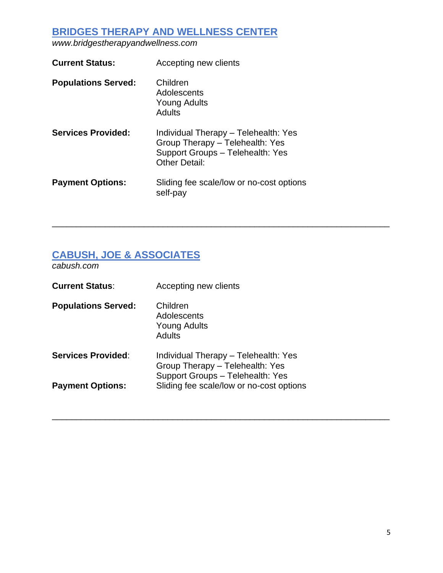## **BRIDGES THERAPY AND WELLNESS CENTER**

*[www.bridgestherapyandwellness.com](http://www.bridgestherapyandwellness.com/)*

| Accepting new clients                                                                                                               |
|-------------------------------------------------------------------------------------------------------------------------------------|
| Children<br>Adolescents<br><b>Young Adults</b><br>Adults                                                                            |
| Individual Therapy - Telehealth: Yes<br>Group Therapy - Telehealth: Yes<br>Support Groups - Telehealth: Yes<br><b>Other Detail:</b> |
| Sliding fee scale/low or no-cost options<br>self-pay                                                                                |
|                                                                                                                                     |

\_\_\_\_\_\_\_\_\_\_\_\_\_\_\_\_\_\_\_\_\_\_\_\_\_\_\_\_\_\_\_\_\_\_\_\_\_\_\_\_\_\_\_\_\_\_\_\_\_\_\_\_\_\_\_\_\_\_\_\_\_\_\_\_\_\_\_\_\_\_

\_\_\_\_\_\_\_\_\_\_\_\_\_\_\_\_\_\_\_\_\_\_\_\_\_\_\_\_\_\_\_\_\_\_\_\_\_\_\_\_\_\_\_\_\_\_\_\_\_\_\_\_\_\_\_\_\_\_\_\_\_\_\_\_\_\_\_\_\_\_

# **CABUSH, JOE & ASSOCIATES**

*cabush.com*

| <b>Current Status:</b>     | Accepting new clients                                                                                       |
|----------------------------|-------------------------------------------------------------------------------------------------------------|
| <b>Populations Served:</b> | Children<br>Adolescents<br><b>Young Adults</b><br>Adults                                                    |
| <b>Services Provided:</b>  | Individual Therapy - Telehealth: Yes<br>Group Therapy - Telehealth: Yes<br>Support Groups - Telehealth: Yes |
| <b>Payment Options:</b>    | Sliding fee scale/low or no-cost options                                                                    |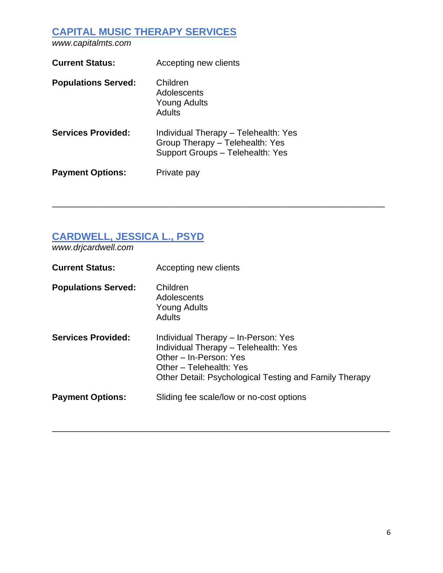# **CAPITAL MUSIC THERAPY SERVICES**

*www.capitalmts.com*

| <b>Current Status:</b>     | Accepting new clients                                                                                       |
|----------------------------|-------------------------------------------------------------------------------------------------------------|
| <b>Populations Served:</b> | Children<br>Adolescents<br><b>Young Adults</b><br>Adults                                                    |
| <b>Services Provided:</b>  | Individual Therapy - Telehealth: Yes<br>Group Therapy - Telehealth: Yes<br>Support Groups - Telehealth: Yes |
| <b>Payment Options:</b>    | Private pay                                                                                                 |

### **CARDWELL, JESSICA L., PSYD**

*www.drjcardwell.com*

| <b>Current Status:</b>     | Accepting new clients                                                                                                                                                                      |
|----------------------------|--------------------------------------------------------------------------------------------------------------------------------------------------------------------------------------------|
| <b>Populations Served:</b> | Children<br>Adolescents<br>Young Adults<br>Adults                                                                                                                                          |
| <b>Services Provided:</b>  | Individual Therapy – In-Person: Yes<br>Individual Therapy - Telehealth: Yes<br>Other - In-Person: Yes<br>Other - Telehealth: Yes<br>Other Detail: Psychological Testing and Family Therapy |
| <b>Payment Options:</b>    | Sliding fee scale/low or no-cost options                                                                                                                                                   |

\_\_\_\_\_\_\_\_\_\_\_\_\_\_\_\_\_\_\_\_\_\_\_\_\_\_\_\_\_\_\_\_\_\_\_\_\_\_\_\_\_\_\_\_\_\_\_\_\_\_\_\_\_\_\_\_\_\_\_\_\_\_\_\_\_\_\_\_\_\_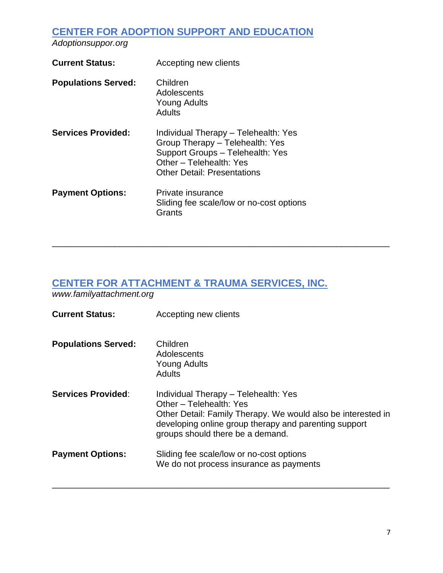## **CENTER FOR ADOPTION SUPPORT AND EDUCATION**

*Adoptionsuppor.org*

| Accepting new clients                                                                                                                                                        |
|------------------------------------------------------------------------------------------------------------------------------------------------------------------------------|
| Children<br>Adolescents<br><b>Young Adults</b><br>Adults                                                                                                                     |
| Individual Therapy - Telehealth: Yes<br>Group Therapy - Telehealth: Yes<br>Support Groups - Telehealth: Yes<br>Other - Telehealth: Yes<br><b>Other Detail: Presentations</b> |
| Private insurance<br>Sliding fee scale/low or no-cost options<br>Grants                                                                                                      |
|                                                                                                                                                                              |

# **CENTER FOR ATTACHMENT & TRAUMA SERVICES, INC.**

*[www.familyattachment.org](http://www.familyattachment.org/)*

| <b>Current Status:</b>     | Accepting new clients                                                                                                                                                                                                        |
|----------------------------|------------------------------------------------------------------------------------------------------------------------------------------------------------------------------------------------------------------------------|
| <b>Populations Served:</b> | Children<br>Adolescents<br><b>Young Adults</b><br><b>Adults</b>                                                                                                                                                              |
| <b>Services Provided:</b>  | Individual Therapy - Telehealth: Yes<br>Other - Telehealth: Yes<br>Other Detail: Family Therapy. We would also be interested in<br>developing online group therapy and parenting support<br>groups should there be a demand. |
| <b>Payment Options:</b>    | Sliding fee scale/low or no-cost options<br>We do not process insurance as payments                                                                                                                                          |

\_\_\_\_\_\_\_\_\_\_\_\_\_\_\_\_\_\_\_\_\_\_\_\_\_\_\_\_\_\_\_\_\_\_\_\_\_\_\_\_\_\_\_\_\_\_\_\_\_\_\_\_\_\_\_\_\_\_\_\_\_\_\_\_\_\_\_\_\_\_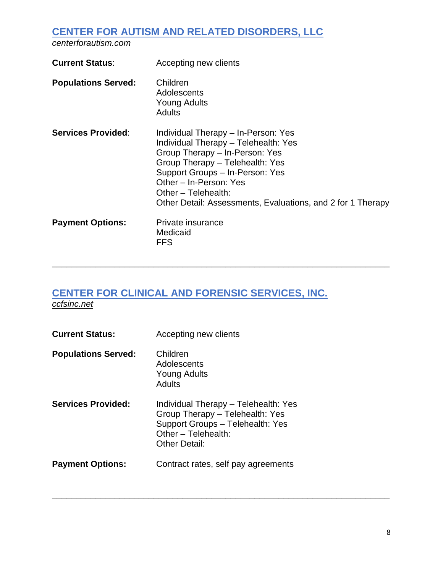# **CENTER FOR AUTISM AND RELATED DISORDERS, LLC**

*centerforautism.com*

| <b>Current Status:</b>     | Accepting new clients                                                                                                                                                                                                                                                                               |
|----------------------------|-----------------------------------------------------------------------------------------------------------------------------------------------------------------------------------------------------------------------------------------------------------------------------------------------------|
| <b>Populations Served:</b> | Children<br>Adolescents<br><b>Young Adults</b><br><b>Adults</b>                                                                                                                                                                                                                                     |
| <b>Services Provided:</b>  | Individual Therapy – In-Person: Yes<br>Individual Therapy - Telehealth: Yes<br>Group Therapy - In-Person: Yes<br>Group Therapy - Telehealth: Yes<br>Support Groups - In-Person: Yes<br>Other - In-Person: Yes<br>Other - Telehealth:<br>Other Detail: Assessments, Evaluations, and 2 for 1 Therapy |
| <b>Payment Options:</b>    | Private insurance<br>Medicaid<br><b>FFS</b>                                                                                                                                                                                                                                                         |

\_\_\_\_\_\_\_\_\_\_\_\_\_\_\_\_\_\_\_\_\_\_\_\_\_\_\_\_\_\_\_\_\_\_\_\_\_\_\_\_\_\_\_\_\_\_\_\_\_\_\_\_\_\_\_\_\_\_\_\_\_\_\_\_\_\_\_\_\_\_

\_\_\_\_\_\_\_\_\_\_\_\_\_\_\_\_\_\_\_\_\_\_\_\_\_\_\_\_\_\_\_\_\_\_\_\_\_\_\_\_\_\_\_\_\_\_\_\_\_\_\_\_\_\_\_\_\_\_\_\_\_\_\_\_\_\_\_\_\_\_

#### **CENTER FOR CLINICAL AND FORENSIC SERVICES, INC.** *ccfsinc.net*

| <b>Current Status:</b>     | Accepting new clients                                                                                                                               |
|----------------------------|-----------------------------------------------------------------------------------------------------------------------------------------------------|
| <b>Populations Served:</b> | Children<br>Adolescents<br>Young Adults<br>Adults                                                                                                   |
| <b>Services Provided:</b>  | Individual Therapy - Telehealth: Yes<br>Group Therapy - Telehealth: Yes<br>Support Groups - Telehealth: Yes<br>Other - Telehealth:<br>Other Detail: |
| <b>Payment Options:</b>    | Contract rates, self pay agreements                                                                                                                 |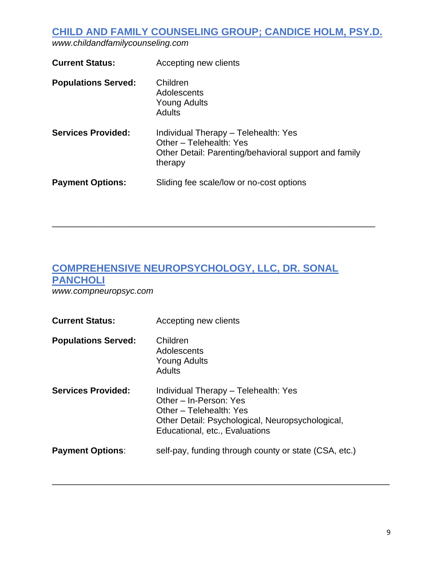**CHILD AND FAMILY COUNSELING GROUP; CANDICE HOLM, PSY.D.**

*www.childandfamilycounseling.com*

| <b>Current Status:</b>     | Accepting new clients                                                                                                               |
|----------------------------|-------------------------------------------------------------------------------------------------------------------------------------|
| <b>Populations Served:</b> | Children<br>Adolescents<br><b>Young Adults</b><br>Adults                                                                            |
| <b>Services Provided:</b>  | Individual Therapy - Telehealth: Yes<br>Other - Telehealth: Yes<br>Other Detail: Parenting/behavioral support and family<br>therapy |
| <b>Payment Options:</b>    | Sliding fee scale/low or no-cost options                                                                                            |

\_\_\_\_\_\_\_\_\_\_\_\_\_\_\_\_\_\_\_\_\_\_\_\_\_\_\_\_\_\_\_\_\_\_\_\_\_\_\_\_\_\_\_\_\_\_\_\_\_\_\_\_\_\_\_\_\_\_\_\_\_\_\_\_\_\_\_

# **COMPREHENSIVE NEUROPSYCHOLOGY, LLC, DR. SONAL PANCHOLI**

*www.compneuropsyc.com*

| <b>Current Status:</b>     | Accepting new clients                                                                                                                                                           |
|----------------------------|---------------------------------------------------------------------------------------------------------------------------------------------------------------------------------|
| <b>Populations Served:</b> | Children<br>Adolescents<br><b>Young Adults</b><br>Adults                                                                                                                        |
| <b>Services Provided:</b>  | Individual Therapy - Telehealth: Yes<br>Other - In-Person: Yes<br>Other – Telehealth: Yes<br>Other Detail: Psychological, Neuropsychological,<br>Educational, etc., Evaluations |
| <b>Payment Options:</b>    | self-pay, funding through county or state (CSA, etc.)                                                                                                                           |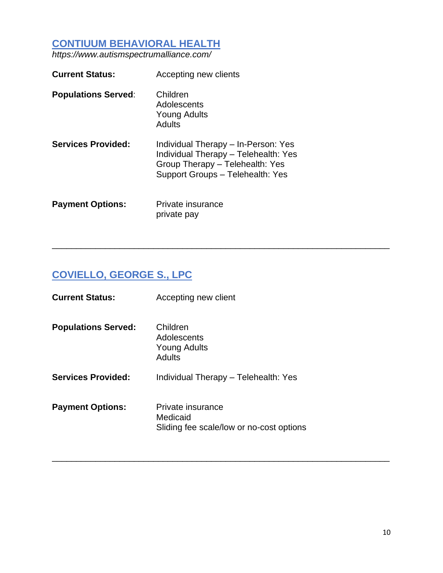#### **CONTIUUM BEHAVIORAL HEALTH**

*https://www.autismspectrumalliance.com/*

| <b>Current Status:</b>     | Accepting new clients                                                                                                                              |
|----------------------------|----------------------------------------------------------------------------------------------------------------------------------------------------|
| <b>Populations Served:</b> | Children<br>Adolescents<br><b>Young Adults</b><br>Adults                                                                                           |
| <b>Services Provided:</b>  | Individual Therapy – In-Person: Yes<br>Individual Therapy - Telehealth: Yes<br>Group Therapy - Telehealth: Yes<br>Support Groups - Telehealth: Yes |
| <b>Payment Options:</b>    | Private insurance<br>private pay                                                                                                                   |

# **COVIELLO, GEORGE S., LPC**

| <b>Current Status:</b>     | Accepting new client                                                      |
|----------------------------|---------------------------------------------------------------------------|
| <b>Populations Served:</b> | Children<br>Adolescents<br>Young Adults<br>Adults                         |
| <b>Services Provided:</b>  | Individual Therapy - Telehealth: Yes                                      |
| <b>Payment Options:</b>    | Private insurance<br>Medicaid<br>Sliding fee scale/low or no-cost options |

\_\_\_\_\_\_\_\_\_\_\_\_\_\_\_\_\_\_\_\_\_\_\_\_\_\_\_\_\_\_\_\_\_\_\_\_\_\_\_\_\_\_\_\_\_\_\_\_\_\_\_\_\_\_\_\_\_\_\_\_\_\_\_\_\_\_\_\_\_\_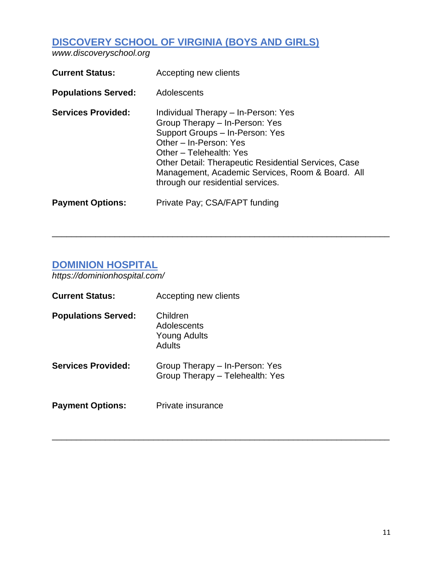# **DISCOVERY SCHOOL OF VIRGINIA (BOYS AND GIRLS)**

*www.discoveryschool.org*

| <b>Current Status:</b>     | Accepting new clients                                                                                                                                                                                                                                                                                                 |
|----------------------------|-----------------------------------------------------------------------------------------------------------------------------------------------------------------------------------------------------------------------------------------------------------------------------------------------------------------------|
| <b>Populations Served:</b> | Adolescents                                                                                                                                                                                                                                                                                                           |
| <b>Services Provided:</b>  | Individual Therapy – In-Person: Yes<br>Group Therapy - In-Person: Yes<br>Support Groups - In-Person: Yes<br>Other - In-Person: Yes<br>Other - Telehealth: Yes<br><b>Other Detail: Therapeutic Residential Services, Case</b><br>Management, Academic Services, Room & Board. All<br>through our residential services. |
| <b>Payment Options:</b>    | Private Pay; CSA/FAPT funding                                                                                                                                                                                                                                                                                         |

\_\_\_\_\_\_\_\_\_\_\_\_\_\_\_\_\_\_\_\_\_\_\_\_\_\_\_\_\_\_\_\_\_\_\_\_\_\_\_\_\_\_\_\_\_\_\_\_\_\_\_\_\_\_\_\_\_\_\_\_\_\_\_\_\_\_\_\_\_\_

\_\_\_\_\_\_\_\_\_\_\_\_\_\_\_\_\_\_\_\_\_\_\_\_\_\_\_\_\_\_\_\_\_\_\_\_\_\_\_\_\_\_\_\_\_\_\_\_\_\_\_\_\_\_\_\_\_\_\_\_\_\_\_\_\_\_\_\_\_\_

#### **DOMINION HOSPITAL**

*https://dominionhospital.com/*

| <b>Current Status:</b>     | Accepting new clients                                             |
|----------------------------|-------------------------------------------------------------------|
| <b>Populations Served:</b> | Children<br>Adolescents<br>Young Adults<br>Adults                 |
| <b>Services Provided:</b>  | Group Therapy – In-Person: Yes<br>Group Therapy - Telehealth: Yes |
| <b>Payment Options:</b>    | Private insurance                                                 |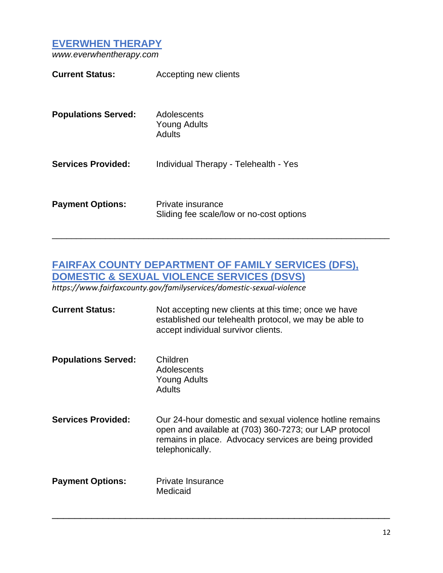**EVERWHEN THERAPY**

*www.everwhentherapy.com*

| <b>Current Status:</b>     | Accepting new clients                                         |
|----------------------------|---------------------------------------------------------------|
| <b>Populations Served:</b> | Adolescents<br><b>Young Adults</b><br>Adults                  |
| <b>Services Provided:</b>  | Individual Therapy - Telehealth - Yes                         |
| <b>Payment Options:</b>    | Private insurance<br>Sliding fee scale/low or no-cost options |

# **FAIRFAX COUNTY DEPARTMENT OF FAMILY SERVICES (DFS), DOMESTIC & SEXUAL VIOLENCE SERVICES (DSVS)**

\_\_\_\_\_\_\_\_\_\_\_\_\_\_\_\_\_\_\_\_\_\_\_\_\_\_\_\_\_\_\_\_\_\_\_\_\_\_\_\_\_\_\_\_\_\_\_\_\_\_\_\_\_\_\_\_\_\_\_\_\_\_\_\_\_\_\_\_\_\_

*https://www.fairfaxcounty.gov/familyservices/domestic-sexual-violence*

| <b>Current Status:</b>     | Not accepting new clients at this time; once we have<br>established our telehealth protocol, we may be able to<br>accept individual survivor clients.                                           |
|----------------------------|-------------------------------------------------------------------------------------------------------------------------------------------------------------------------------------------------|
| <b>Populations Served:</b> | Children<br>Adolescents<br>Young Adults<br><b>Adults</b>                                                                                                                                        |
| <b>Services Provided:</b>  | Our 24-hour domestic and sexual violence hotline remains<br>open and available at (703) 360-7273; our LAP protocol<br>remains in place. Advocacy services are being provided<br>telephonically. |
| <b>Payment Options:</b>    | Private Insurance<br>Medicaid                                                                                                                                                                   |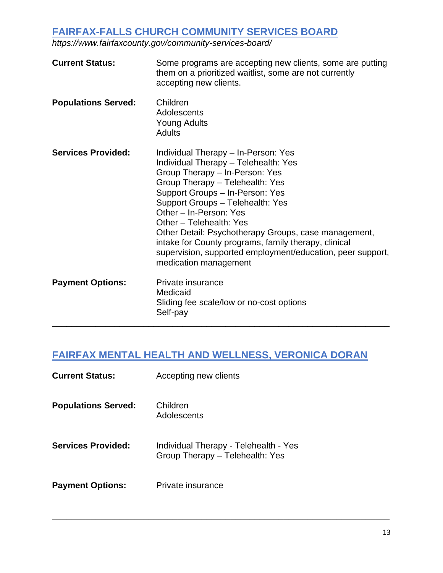# **FAIRFAX-FALLS CHURCH COMMUNITY SERVICES BOARD**

*https://www.fairfaxcounty.gov/community-services-board/*

| <b>Current Status:</b>     | Some programs are accepting new clients, some are putting<br>them on a prioritized waitlist, some are not currently<br>accepting new clients.                                                                                                                                                                                                                                                                                                                                       |
|----------------------------|-------------------------------------------------------------------------------------------------------------------------------------------------------------------------------------------------------------------------------------------------------------------------------------------------------------------------------------------------------------------------------------------------------------------------------------------------------------------------------------|
| <b>Populations Served:</b> | Children<br>Adolescents<br>Young Adults<br><b>Adults</b>                                                                                                                                                                                                                                                                                                                                                                                                                            |
| <b>Services Provided:</b>  | Individual Therapy - In-Person: Yes<br>Individual Therapy - Telehealth: Yes<br>Group Therapy - In-Person: Yes<br>Group Therapy - Telehealth: Yes<br>Support Groups - In-Person: Yes<br>Support Groups - Telehealth: Yes<br>Other - In-Person: Yes<br>Other - Telehealth: Yes<br>Other Detail: Psychotherapy Groups, case management,<br>intake for County programs, family therapy, clinical<br>supervision, supported employment/education, peer support,<br>medication management |
| <b>Payment Options:</b>    | Private insurance<br>Medicaid<br>Sliding fee scale/low or no-cost options<br>Self-pay                                                                                                                                                                                                                                                                                                                                                                                               |

# **FAIRFAX MENTAL HEALTH AND WELLNESS, VERONICA DORAN**

| <b>Current Status:</b>     | Accepting new clients                                                    |
|----------------------------|--------------------------------------------------------------------------|
| <b>Populations Served:</b> | Children<br>Adolescents                                                  |
| <b>Services Provided:</b>  | Individual Therapy - Telehealth - Yes<br>Group Therapy - Telehealth: Yes |
| <b>Payment Options:</b>    | Private insurance                                                        |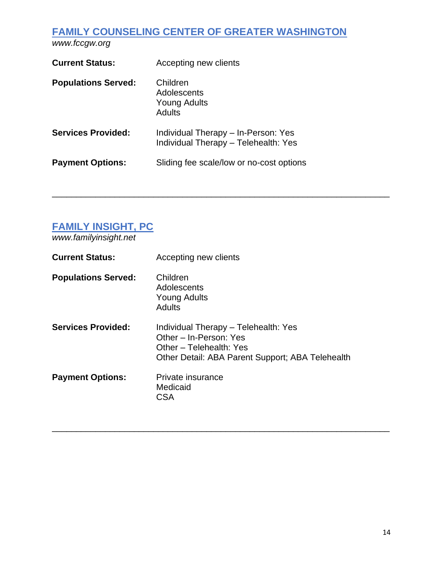# **FAMILY COUNSELING CENTER OF GREATER WASHINGTON**

*www.fccgw.org*

| <b>Current Status:</b>     | Accepting new clients                                                       |
|----------------------------|-----------------------------------------------------------------------------|
| <b>Populations Served:</b> | Children<br>Adolescents<br><b>Young Adults</b><br><b>Adults</b>             |
| <b>Services Provided:</b>  | Individual Therapy - In-Person: Yes<br>Individual Therapy - Telehealth: Yes |
| <b>Payment Options:</b>    | Sliding fee scale/low or no-cost options                                    |

# **FAMILY INSIGHT, PC**

*www.familyinsight.net*

| <b>Current Status:</b>     | Accepting new clients                                                                                                                         |
|----------------------------|-----------------------------------------------------------------------------------------------------------------------------------------------|
| <b>Populations Served:</b> | Children<br>Adolescents<br>Young Adults<br>Adults                                                                                             |
| <b>Services Provided:</b>  | Individual Therapy - Telehealth: Yes<br>Other - In-Person: Yes<br>Other - Telehealth: Yes<br>Other Detail: ABA Parent Support; ABA Telehealth |
| <b>Payment Options:</b>    | Private insurance<br>Medicaid<br>CSA                                                                                                          |

\_\_\_\_\_\_\_\_\_\_\_\_\_\_\_\_\_\_\_\_\_\_\_\_\_\_\_\_\_\_\_\_\_\_\_\_\_\_\_\_\_\_\_\_\_\_\_\_\_\_\_\_\_\_\_\_\_\_\_\_\_\_\_\_\_\_\_\_\_\_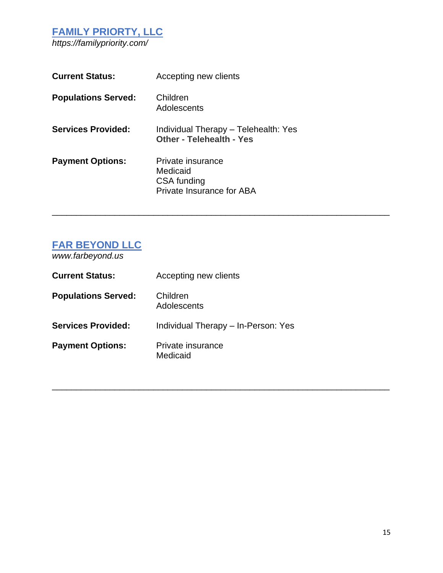#### **FAMILY PRIORTY, LLC** *https://familypriority.com/*

| <b>Current Status:</b>     | Accepting new clients                                                     |
|----------------------------|---------------------------------------------------------------------------|
| <b>Populations Served:</b> | Children<br>Adolescents                                                   |
| <b>Services Provided:</b>  | Individual Therapy - Telehealth: Yes<br><b>Other - Telehealth - Yes</b>   |
| <b>Payment Options:</b>    | Private insurance<br>Medicaid<br>CSA funding<br>Private Insurance for ABA |

\_\_\_\_\_\_\_\_\_\_\_\_\_\_\_\_\_\_\_\_\_\_\_\_\_\_\_\_\_\_\_\_\_\_\_\_\_\_\_\_\_\_\_\_\_\_\_\_\_\_\_\_\_\_\_\_\_\_\_\_\_\_\_\_\_\_\_\_\_\_

\_\_\_\_\_\_\_\_\_\_\_\_\_\_\_\_\_\_\_\_\_\_\_\_\_\_\_\_\_\_\_\_\_\_\_\_\_\_\_\_\_\_\_\_\_\_\_\_\_\_\_\_\_\_\_\_\_\_\_\_\_\_\_\_\_\_\_\_\_\_

## **FAR BEYOND LLC**

*www.farbeyond.us*

| <b>Current Status:</b>     | Accepting new clients               |
|----------------------------|-------------------------------------|
| <b>Populations Served:</b> | Children<br>Adolescents             |
| <b>Services Provided:</b>  | Individual Therapy - In-Person: Yes |
| <b>Payment Options:</b>    | Private insurance<br>Medicaid       |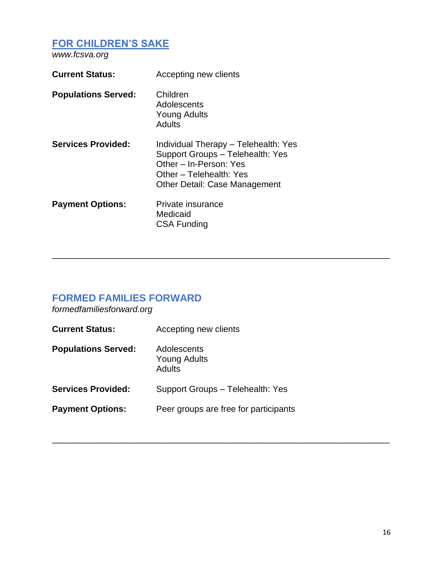#### **FOR CHILDREN'S SAKE**

*www.fcsva.org*

| <b>Current Status:</b>     | Accepting new clients                                                                                                                                                 |
|----------------------------|-----------------------------------------------------------------------------------------------------------------------------------------------------------------------|
| <b>Populations Served:</b> | Children<br>Adolescents<br><b>Young Adults</b><br>Adults                                                                                                              |
| <b>Services Provided:</b>  | Individual Therapy - Telehealth: Yes<br>Support Groups - Telehealth: Yes<br>Other – In-Person: Yes<br>Other – Telehealth: Yes<br><b>Other Detail: Case Management</b> |
| <b>Payment Options:</b>    | Private insurance<br>Medicaid<br><b>CSA Funding</b>                                                                                                                   |

\_\_\_\_\_\_\_\_\_\_\_\_\_\_\_\_\_\_\_\_\_\_\_\_\_\_\_\_\_\_\_\_\_\_\_\_\_\_\_\_\_\_\_\_\_\_\_\_\_\_\_\_\_\_\_\_\_\_\_\_\_\_\_\_\_\_\_\_\_\_

\_\_\_\_\_\_\_\_\_\_\_\_\_\_\_\_\_\_\_\_\_\_\_\_\_\_\_\_\_\_\_\_\_\_\_\_\_\_\_\_\_\_\_\_\_\_\_\_\_\_\_\_\_\_\_\_\_\_\_\_\_\_\_\_\_\_\_\_\_\_

# **FORMED FAMILIES FORWARD**

*formedfamiliesforward.org*

| <b>Current Status:</b>     | Accepting new clients                        |
|----------------------------|----------------------------------------------|
| <b>Populations Served:</b> | Adolescents<br><b>Young Adults</b><br>Adults |
| <b>Services Provided:</b>  | Support Groups - Telehealth: Yes             |
| <b>Payment Options:</b>    | Peer groups are free for participants        |
|                            |                                              |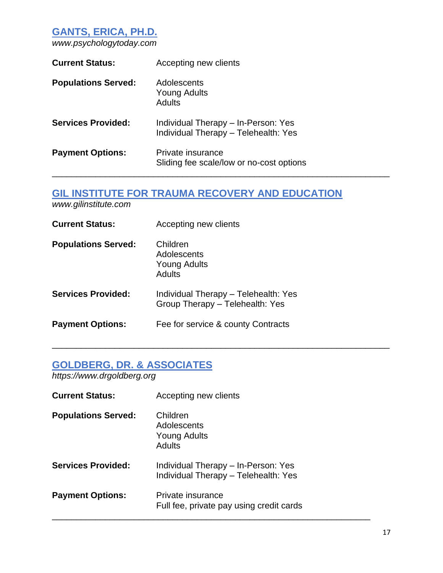### **GANTS, ERICA, PH.D.**

*www.psychologytoday.com*

| <b>Current Status:</b>     | Accepting new clients                                                       |
|----------------------------|-----------------------------------------------------------------------------|
| <b>Populations Served:</b> | Adolescents<br>Young Adults<br><b>Adults</b>                                |
| <b>Services Provided:</b>  | Individual Therapy - In-Person: Yes<br>Individual Therapy - Telehealth: Yes |
| <b>Payment Options:</b>    | Private insurance<br>Sliding fee scale/low or no-cost options               |

# **GIL INSTITUTE FOR TRAUMA RECOVERY AND EDUCATION**

\_\_\_\_\_\_\_\_\_\_\_\_\_\_\_\_\_\_\_\_\_\_\_\_\_\_\_\_\_\_\_\_\_\_\_\_\_\_\_\_\_\_\_\_\_\_\_\_\_\_\_\_\_\_\_\_\_\_\_\_\_\_\_\_\_\_\_\_\_\_

*www.gilinstitute.com*

| <b>Current Status:</b>     | Accepting new clients                                                   |
|----------------------------|-------------------------------------------------------------------------|
| <b>Populations Served:</b> | Children<br>Adolescents<br>Young Adults<br>Adults                       |
| <b>Services Provided:</b>  | Individual Therapy - Telehealth: Yes<br>Group Therapy - Telehealth: Yes |
| <b>Payment Options:</b>    | Fee for service & county Contracts                                      |

# **GOLDBERG, DR. & ASSOCIATES**

*https://www.drgoldberg.org*

| <b>Current Status:</b>     | Accepting new clients                                                       |
|----------------------------|-----------------------------------------------------------------------------|
| <b>Populations Served:</b> | Children<br>Adolescents<br>Young Adults<br>Adults                           |
| <b>Services Provided:</b>  | Individual Therapy - In-Person: Yes<br>Individual Therapy - Telehealth: Yes |
| <b>Payment Options:</b>    | Private insurance<br>Full fee, private pay using credit cards               |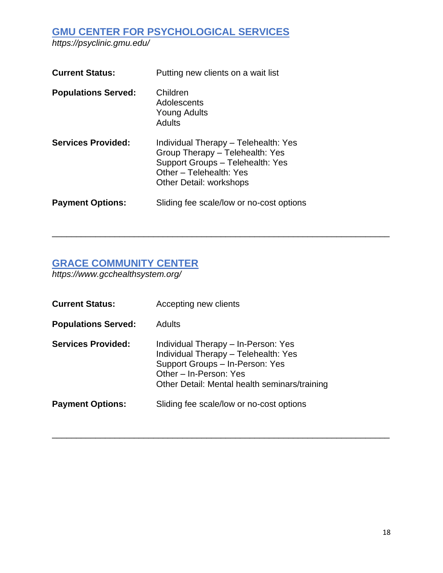**GMU CENTER FOR PSYCHOLOGICAL SERVICES** *https://psyclinic.gmu.edu/*

| <b>Current Status:</b>     | Putting new clients on a wait list                                                                                                                                |
|----------------------------|-------------------------------------------------------------------------------------------------------------------------------------------------------------------|
| <b>Populations Served:</b> | Children<br>Adolescents<br>Young Adults<br><b>Adults</b>                                                                                                          |
| <b>Services Provided:</b>  | Individual Therapy - Telehealth: Yes<br>Group Therapy - Telehealth: Yes<br>Support Groups - Telehealth: Yes<br>Other - Telehealth: Yes<br>Other Detail: workshops |
| <b>Payment Options:</b>    | Sliding fee scale/low or no-cost options                                                                                                                          |

#### **GRACE COMMUNITY CENTER**

*https://www.gcchealthsystem.org/*

| <b>Current Status:</b>     | Accepting new clients                                                                                                                                                                     |
|----------------------------|-------------------------------------------------------------------------------------------------------------------------------------------------------------------------------------------|
| <b>Populations Served:</b> | Adults                                                                                                                                                                                    |
| <b>Services Provided:</b>  | Individual Therapy - In-Person: Yes<br>Individual Therapy - Telehealth: Yes<br>Support Groups - In-Person: Yes<br>Other - In-Person: Yes<br>Other Detail: Mental health seminars/training |
| <b>Payment Options:</b>    | Sliding fee scale/low or no-cost options                                                                                                                                                  |

\_\_\_\_\_\_\_\_\_\_\_\_\_\_\_\_\_\_\_\_\_\_\_\_\_\_\_\_\_\_\_\_\_\_\_\_\_\_\_\_\_\_\_\_\_\_\_\_\_\_\_\_\_\_\_\_\_\_\_\_\_\_\_\_\_\_\_\_\_\_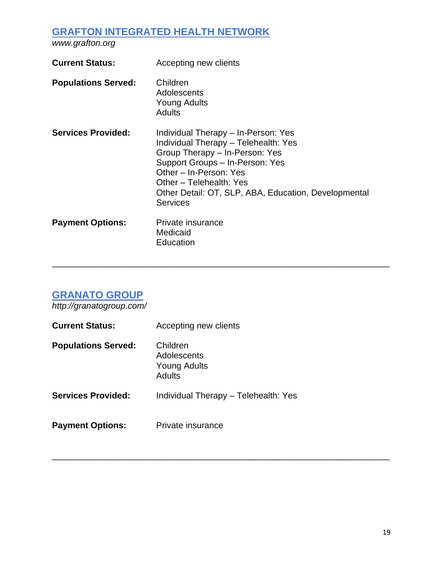## **GRAFTON INTEGRATED HEALTH NETWORK**

*www.grafton.org*

| <b>Current Status:</b>     | Accepting new clients                                                                                                                                                                                                                                                            |
|----------------------------|----------------------------------------------------------------------------------------------------------------------------------------------------------------------------------------------------------------------------------------------------------------------------------|
| <b>Populations Served:</b> | Children<br>Adolescents<br><b>Young Adults</b><br>Adults                                                                                                                                                                                                                         |
| <b>Services Provided:</b>  | Individual Therapy – In-Person: Yes<br>Individual Therapy - Telehealth: Yes<br>Group Therapy - In-Person: Yes<br>Support Groups - In-Person: Yes<br>Other - In-Person: Yes<br>Other - Telehealth: Yes<br>Other Detail: OT, SLP, ABA, Education, Developmental<br><b>Services</b> |
| <b>Payment Options:</b>    | Private insurance<br>Medicaid<br>Education                                                                                                                                                                                                                                       |

\_\_\_\_\_\_\_\_\_\_\_\_\_\_\_\_\_\_\_\_\_\_\_\_\_\_\_\_\_\_\_\_\_\_\_\_\_\_\_\_\_\_\_\_\_\_\_\_\_\_\_\_\_\_\_\_\_\_\_\_\_\_\_\_\_\_\_\_\_\_

\_\_\_\_\_\_\_\_\_\_\_\_\_\_\_\_\_\_\_\_\_\_\_\_\_\_\_\_\_\_\_\_\_\_\_\_\_\_\_\_\_\_\_\_\_\_\_\_\_\_\_\_\_\_\_\_\_\_\_\_\_\_\_\_\_\_\_\_\_\_

# **GRANATO GROUP**

*http://granatogroup.com/*

| <b>Current Status:</b>     | Accepting new clients                             |
|----------------------------|---------------------------------------------------|
| <b>Populations Served:</b> | Children<br>Adolescents<br>Young Adults<br>Adults |
| <b>Services Provided:</b>  | Individual Therapy - Telehealth: Yes              |
| <b>Payment Options:</b>    | Private insurance                                 |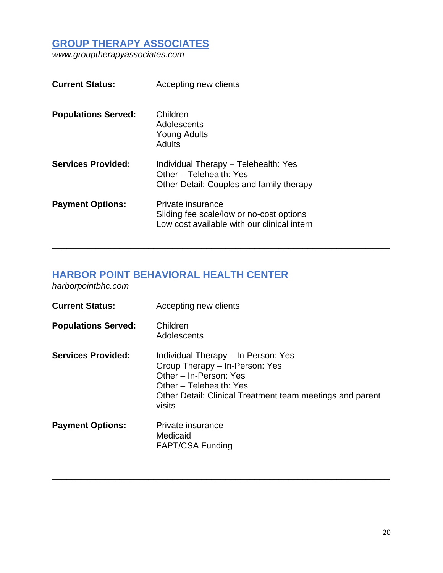# **GROUP THERAPY ASSOCIATES**

*www.grouptherapyassociates.com*

| <b>Current Status:</b>     | Accepting new clients                                                                                        |
|----------------------------|--------------------------------------------------------------------------------------------------------------|
| <b>Populations Served:</b> | Children<br>Adolescents<br><b>Young Adults</b><br>Adults                                                     |
| <b>Services Provided:</b>  | Individual Therapy - Telehealth: Yes<br>Other - Telehealth: Yes<br>Other Detail: Couples and family therapy  |
| <b>Payment Options:</b>    | Private insurance<br>Sliding fee scale/low or no-cost options<br>Low cost available with our clinical intern |

#### **HARBOR POINT BEHAVIORAL HEALTH CENTER**

*harborpointbhc.com*

| <b>Current Status:</b>     | Accepting new clients                                                                                                                                                                             |
|----------------------------|---------------------------------------------------------------------------------------------------------------------------------------------------------------------------------------------------|
| <b>Populations Served:</b> | Children<br>Adolescents                                                                                                                                                                           |
| <b>Services Provided:</b>  | Individual Therapy – In-Person: Yes<br>Group Therapy - In-Person: Yes<br>Other - In-Person: Yes<br>Other - Telehealth: Yes<br>Other Detail: Clinical Treatment team meetings and parent<br>visits |
| <b>Payment Options:</b>    | Private insurance<br>Medicaid<br><b>FAPT/CSA Funding</b>                                                                                                                                          |

\_\_\_\_\_\_\_\_\_\_\_\_\_\_\_\_\_\_\_\_\_\_\_\_\_\_\_\_\_\_\_\_\_\_\_\_\_\_\_\_\_\_\_\_\_\_\_\_\_\_\_\_\_\_\_\_\_\_\_\_\_\_\_\_\_\_\_\_\_\_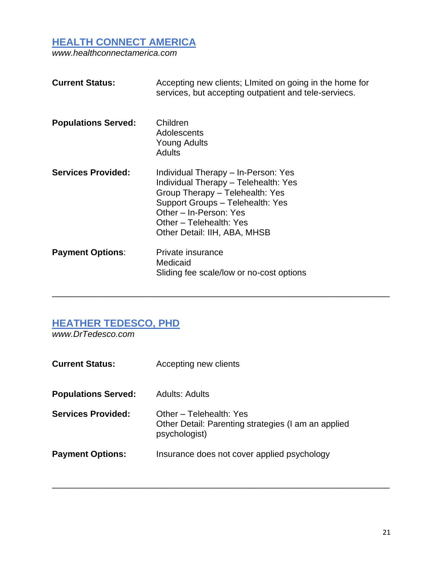#### **HEALTH CONNECT AMERICA**

*www.healthconnectamerica.com*

| <b>Current Status:</b>     | Accepting new clients; Limited on going in the home for<br>services, but accepting outpatient and tele-serviecs.                                                                                                                        |
|----------------------------|-----------------------------------------------------------------------------------------------------------------------------------------------------------------------------------------------------------------------------------------|
| <b>Populations Served:</b> | Children<br>Adolescents<br><b>Young Adults</b><br><b>Adults</b>                                                                                                                                                                         |
| <b>Services Provided:</b>  | Individual Therapy - In-Person: Yes<br>Individual Therapy - Telehealth: Yes<br>Group Therapy - Telehealth: Yes<br>Support Groups - Telehealth: Yes<br>Other - In-Person: Yes<br>Other - Telehealth: Yes<br>Other Detail: IIH, ABA, MHSB |
| <b>Payment Options:</b>    | Private insurance<br>Medicaid<br>Sliding fee scale/low or no-cost options                                                                                                                                                               |

\_\_\_\_\_\_\_\_\_\_\_\_\_\_\_\_\_\_\_\_\_\_\_\_\_\_\_\_\_\_\_\_\_\_\_\_\_\_\_\_\_\_\_\_\_\_\_\_\_\_\_\_\_\_\_\_\_\_\_\_\_\_\_\_\_\_\_\_\_\_

## **HEATHER TEDESCO, PHD**

*www.DrTedesco.com*

| <b>Current Status:</b>     | Accepting new clients                                                                           |
|----------------------------|-------------------------------------------------------------------------------------------------|
| <b>Populations Served:</b> | Adults: Adults                                                                                  |
| <b>Services Provided:</b>  | Other - Telehealth: Yes<br>Other Detail: Parenting strategies (I am an applied<br>psychologist) |
| <b>Payment Options:</b>    | Insurance does not cover applied psychology                                                     |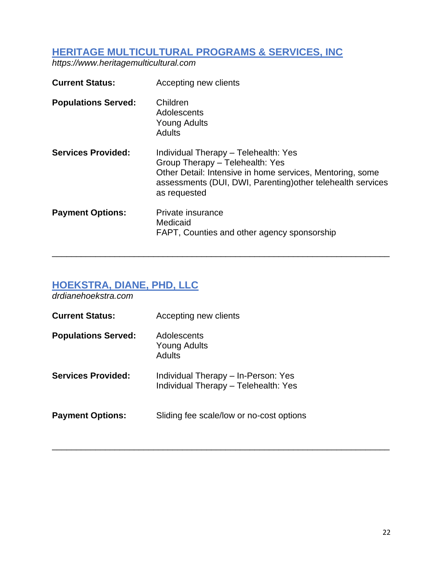#### **HERITAGE MULTICULTURAL PROGRAMS & SERVICES, INC**

*https://www.heritagemulticultural.com*

| <b>Current Status:</b>     | Accepting new clients                                                                                                                                                                                               |
|----------------------------|---------------------------------------------------------------------------------------------------------------------------------------------------------------------------------------------------------------------|
| <b>Populations Served:</b> | Children<br>Adolescents<br><b>Young Adults</b><br><b>Adults</b>                                                                                                                                                     |
| <b>Services Provided:</b>  | Individual Therapy - Telehealth: Yes<br>Group Therapy - Telehealth: Yes<br>Other Detail: Intensive in home services, Mentoring, some<br>assessments (DUI, DWI, Parenting) other telehealth services<br>as requested |
| <b>Payment Options:</b>    | Private insurance<br>Medicaid<br>FAPT, Counties and other agency sponsorship                                                                                                                                        |

\_\_\_\_\_\_\_\_\_\_\_\_\_\_\_\_\_\_\_\_\_\_\_\_\_\_\_\_\_\_\_\_\_\_\_\_\_\_\_\_\_\_\_\_\_\_\_\_\_\_\_\_\_\_\_\_\_\_\_\_\_\_\_\_\_\_\_\_\_\_

\_\_\_\_\_\_\_\_\_\_\_\_\_\_\_\_\_\_\_\_\_\_\_\_\_\_\_\_\_\_\_\_\_\_\_\_\_\_\_\_\_\_\_\_\_\_\_\_\_\_\_\_\_\_\_\_\_\_\_\_\_\_\_\_\_\_\_\_\_\_

# **HOEKSTRA, DIANE, PHD, LLC**

*drdianehoekstra.com*

| <b>Current Status:</b>     | Accepting new clients                                                       |
|----------------------------|-----------------------------------------------------------------------------|
| <b>Populations Served:</b> | Adolescents<br><b>Young Adults</b><br><b>Adults</b>                         |
| <b>Services Provided:</b>  | Individual Therapy – In-Person: Yes<br>Individual Therapy - Telehealth: Yes |
| <b>Payment Options:</b>    | Sliding fee scale/low or no-cost options                                    |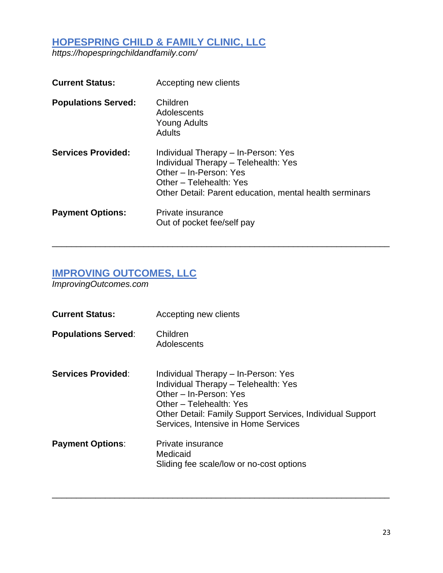## **HOPESPRING CHILD & FAMILY CLINIC, LLC**

*https://hopespringchildandfamily.com/*

| <b>Current Status:</b>     | Accepting new clients                                                                                                                                                                       |
|----------------------------|---------------------------------------------------------------------------------------------------------------------------------------------------------------------------------------------|
| <b>Populations Served:</b> | Children<br>Adolescents<br>Young Adults<br><b>Adults</b>                                                                                                                                    |
| <b>Services Provided:</b>  | Individual Therapy – In-Person: Yes<br>Individual Therapy - Telehealth: Yes<br>Other - In-Person: Yes<br>Other – Telehealth: Yes<br>Other Detail: Parent education, mental health serminars |
| <b>Payment Options:</b>    | Private insurance<br>Out of pocket fee/self pay                                                                                                                                             |

\_\_\_\_\_\_\_\_\_\_\_\_\_\_\_\_\_\_\_\_\_\_\_\_\_\_\_\_\_\_\_\_\_\_\_\_\_\_\_\_\_\_\_\_\_\_\_\_\_\_\_\_\_\_\_\_\_\_\_\_\_\_\_\_\_\_\_\_\_\_

## **IMPROVING OUTCOMES, LLC**

*ImprovingOutcomes.com*

| <b>Current Status:</b>     | Accepting new clients                                                                                                                                                                                                                 |
|----------------------------|---------------------------------------------------------------------------------------------------------------------------------------------------------------------------------------------------------------------------------------|
| <b>Populations Served:</b> | Children<br>Adolescents                                                                                                                                                                                                               |
| <b>Services Provided:</b>  | Individual Therapy - In-Person: Yes<br>Individual Therapy - Telehealth: Yes<br>Other - In-Person: Yes<br>Other - Telehealth: Yes<br>Other Detail: Family Support Services, Individual Support<br>Services, Intensive in Home Services |
| <b>Payment Options:</b>    | Private insurance<br>Medicaid<br>Sliding fee scale/low or no-cost options                                                                                                                                                             |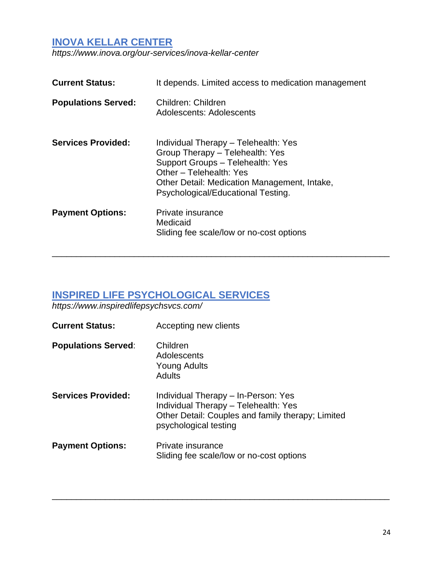#### **INOVA KELLAR CENTER**

*https://www.inova.org/our-services/inova-kellar-center*

| <b>Current Status:</b>     | It depends. Limited access to medication management                                                                                                                                                                          |
|----------------------------|------------------------------------------------------------------------------------------------------------------------------------------------------------------------------------------------------------------------------|
| <b>Populations Served:</b> | Children: Children<br>Adolescents: Adolescents                                                                                                                                                                               |
| <b>Services Provided:</b>  | Individual Therapy - Telehealth: Yes<br>Group Therapy - Telehealth: Yes<br>Support Groups - Telehealth: Yes<br>Other - Telehealth: Yes<br>Other Detail: Medication Management, Intake,<br>Psychological/Educational Testing. |
| <b>Payment Options:</b>    | Private insurance<br>Medicaid<br>Sliding fee scale/low or no-cost options                                                                                                                                                    |

\_\_\_\_\_\_\_\_\_\_\_\_\_\_\_\_\_\_\_\_\_\_\_\_\_\_\_\_\_\_\_\_\_\_\_\_\_\_\_\_\_\_\_\_\_\_\_\_\_\_\_\_\_\_\_\_\_\_\_\_\_\_\_\_\_\_\_\_\_\_

# **INSPIRED LIFE PSYCHOLOGICAL SERVICES**

*https://www.inspiredlifepsychsvcs.com/*

| <b>Current Status:</b>     | Accepting new clients                                                                                                                                     |
|----------------------------|-----------------------------------------------------------------------------------------------------------------------------------------------------------|
| <b>Populations Served:</b> | Children<br>Adolescents<br><b>Young Adults</b><br><b>Adults</b>                                                                                           |
| <b>Services Provided:</b>  | Individual Therapy - In-Person: Yes<br>Individual Therapy - Telehealth: Yes<br>Other Detail: Couples and family therapy; Limited<br>psychological testing |
| <b>Payment Options:</b>    | Private insurance<br>Sliding fee scale/low or no-cost options                                                                                             |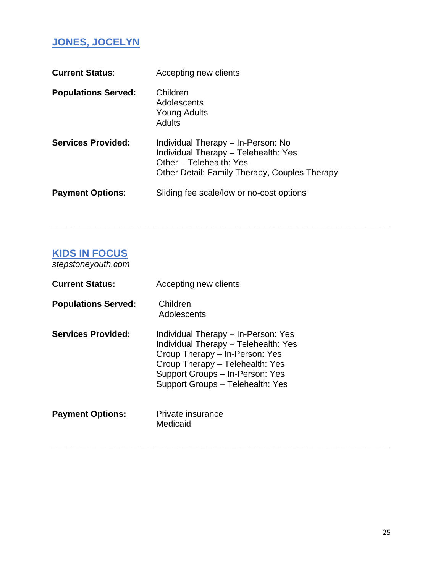# **JONES, JOCELYN**

| <b>Current Status:</b>     | Accepting new clients                                                                                                                                  |
|----------------------------|--------------------------------------------------------------------------------------------------------------------------------------------------------|
| <b>Populations Served:</b> | Children<br>Adolescents<br><b>Young Adults</b><br><b>Adults</b>                                                                                        |
| <b>Services Provided:</b>  | Individual Therapy – In-Person: No<br>Individual Therapy - Telehealth: Yes<br>Other – Telehealth: Yes<br>Other Detail: Family Therapy, Couples Therapy |
| <b>Payment Options:</b>    | Sliding fee scale/low or no-cost options                                                                                                               |

\_\_\_\_\_\_\_\_\_\_\_\_\_\_\_\_\_\_\_\_\_\_\_\_\_\_\_\_\_\_\_\_\_\_\_\_\_\_\_\_\_\_\_\_\_\_\_\_\_\_\_\_\_\_\_\_\_\_\_\_\_\_\_\_\_\_\_\_\_\_

\_\_\_\_\_\_\_\_\_\_\_\_\_\_\_\_\_\_\_\_\_\_\_\_\_\_\_\_\_\_\_\_\_\_\_\_\_\_\_\_\_\_\_\_\_\_\_\_\_\_\_\_\_\_\_\_\_\_\_\_\_\_\_\_\_\_\_\_\_\_

## **KIDS IN FOCUS**

*stepstoneyouth.com*

| <b>Current Status:</b>     | Accepting new clients                                                                                                                                                                                                   |
|----------------------------|-------------------------------------------------------------------------------------------------------------------------------------------------------------------------------------------------------------------------|
| <b>Populations Served:</b> | Children<br>Adolescents                                                                                                                                                                                                 |
| <b>Services Provided:</b>  | Individual Therapy - In-Person: Yes<br>Individual Therapy - Telehealth: Yes<br>Group Therapy - In-Person: Yes<br>Group Therapy - Telehealth: Yes<br>Support Groups - In-Person: Yes<br>Support Groups - Telehealth: Yes |
| <b>Payment Options:</b>    | Private insurance<br>Medicaid                                                                                                                                                                                           |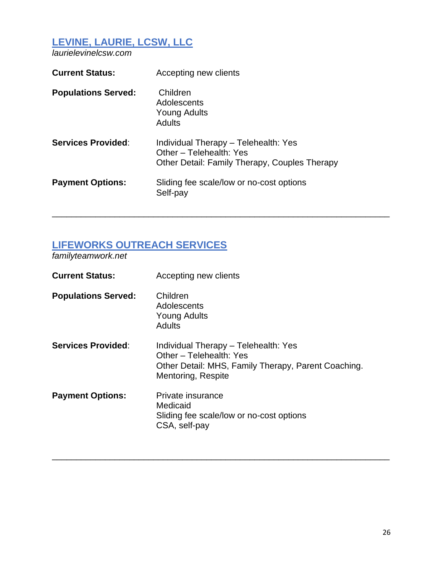# **LEVINE, LAURIE, LCSW, LLC**

*laurielevinelcsw.com*

| <b>Current Status:</b>     | Accepting new clients                                                                                            |
|----------------------------|------------------------------------------------------------------------------------------------------------------|
| <b>Populations Served:</b> | Children<br>Adolescents<br>Young Adults<br>Adults                                                                |
| <b>Services Provided:</b>  | Individual Therapy - Telehealth: Yes<br>Other - Telehealth: Yes<br>Other Detail: Family Therapy, Couples Therapy |
| <b>Payment Options:</b>    | Sliding fee scale/low or no-cost options<br>Self-pay                                                             |

\_\_\_\_\_\_\_\_\_\_\_\_\_\_\_\_\_\_\_\_\_\_\_\_\_\_\_\_\_\_\_\_\_\_\_\_\_\_\_\_\_\_\_\_\_\_\_\_\_\_\_\_\_\_\_\_\_\_\_\_\_\_\_\_\_\_\_\_\_\_

### **LIFEWORKS OUTREACH SERVICES**

*familyteamwork.net*

| <b>Current Status:</b>     | Accepting new clients                                                                                                                        |
|----------------------------|----------------------------------------------------------------------------------------------------------------------------------------------|
| <b>Populations Served:</b> | Children<br>Adolescents<br><b>Young Adults</b><br><b>Adults</b>                                                                              |
| <b>Services Provided:</b>  | Individual Therapy - Telehealth: Yes<br>Other - Telehealth: Yes<br>Other Detail: MHS, Family Therapy, Parent Coaching.<br>Mentoring, Respite |
| <b>Payment Options:</b>    | Private insurance<br>Medicaid<br>Sliding fee scale/low or no-cost options<br>CSA, self-pay                                                   |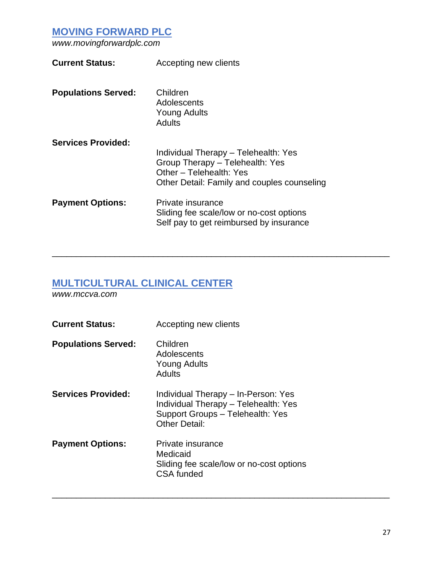### **MOVING FORWARD PLC**

*www.movingforwardplc.com*

| <b>Current Status:</b>     | Accepting new clients                                                                                                                             |
|----------------------------|---------------------------------------------------------------------------------------------------------------------------------------------------|
| <b>Populations Served:</b> | Children<br>Adolescents<br><b>Young Adults</b><br><b>Adults</b>                                                                                   |
| <b>Services Provided:</b>  | Individual Therapy - Telehealth: Yes<br>Group Therapy - Telehealth: Yes<br>Other - Telehealth: Yes<br>Other Detail: Family and couples counseling |
| <b>Payment Options:</b>    | Private insurance<br>Sliding fee scale/low or no-cost options<br>Self pay to get reimbursed by insurance                                          |

\_\_\_\_\_\_\_\_\_\_\_\_\_\_\_\_\_\_\_\_\_\_\_\_\_\_\_\_\_\_\_\_\_\_\_\_\_\_\_\_\_\_\_\_\_\_\_\_\_\_\_\_\_\_\_\_\_\_\_\_\_\_\_\_\_\_\_\_\_\_

\_\_\_\_\_\_\_\_\_\_\_\_\_\_\_\_\_\_\_\_\_\_\_\_\_\_\_\_\_\_\_\_\_\_\_\_\_\_\_\_\_\_\_\_\_\_\_\_\_\_\_\_\_\_\_\_\_\_\_\_\_\_\_\_\_\_\_\_\_\_

# **MULTICULTURAL CLINICAL CENTER**

*www.mccva.com*

| <b>Current Status:</b>     | Accepting new clients                                                                                                                   |
|----------------------------|-----------------------------------------------------------------------------------------------------------------------------------------|
| <b>Populations Served:</b> | Children<br>Adolescents<br><b>Young Adults</b><br>Adults                                                                                |
| <b>Services Provided:</b>  | Individual Therapy – In-Person: Yes<br>Individual Therapy - Telehealth: Yes<br>Support Groups - Telehealth: Yes<br><b>Other Detail:</b> |
| <b>Payment Options:</b>    | Private insurance<br>Medicaid<br>Sliding fee scale/low or no-cost options<br><b>CSA funded</b>                                          |
|                            |                                                                                                                                         |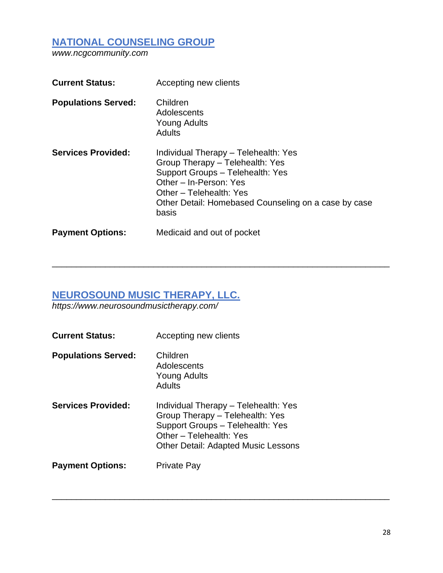## **NATIONAL COUNSELING GROUP**

*www.ncgcommunity.com*

| <b>Current Status:</b>     | Accepting new clients                                                                                                                                                                                                             |
|----------------------------|-----------------------------------------------------------------------------------------------------------------------------------------------------------------------------------------------------------------------------------|
| <b>Populations Served:</b> | Children<br>Adolescents<br><b>Young Adults</b><br>Adults                                                                                                                                                                          |
| <b>Services Provided:</b>  | Individual Therapy - Telehealth: Yes<br>Group Therapy - Telehealth: Yes<br>Support Groups - Telehealth: Yes<br>Other - In-Person: Yes<br>Other - Telehealth: Yes<br>Other Detail: Homebased Counseling on a case by case<br>basis |
| <b>Payment Options:</b>    | Medicaid and out of pocket                                                                                                                                                                                                        |

\_\_\_\_\_\_\_\_\_\_\_\_\_\_\_\_\_\_\_\_\_\_\_\_\_\_\_\_\_\_\_\_\_\_\_\_\_\_\_\_\_\_\_\_\_\_\_\_\_\_\_\_\_\_\_\_\_\_\_\_\_\_\_\_\_\_\_\_\_\_

\_\_\_\_\_\_\_\_\_\_\_\_\_\_\_\_\_\_\_\_\_\_\_\_\_\_\_\_\_\_\_\_\_\_\_\_\_\_\_\_\_\_\_\_\_\_\_\_\_\_\_\_\_\_\_\_\_\_\_\_\_\_\_\_\_\_\_\_\_\_

## **NEUROSOUND MUSIC THERAPY, LLC.**

*https://www.neurosoundmusictherapy.com/*

| <b>Current Status:</b>     | Accepting new clients                                                                                                                                                                |
|----------------------------|--------------------------------------------------------------------------------------------------------------------------------------------------------------------------------------|
| <b>Populations Served:</b> | Children<br>Adolescents<br>Young Adults<br>Adults                                                                                                                                    |
| <b>Services Provided:</b>  | Individual Therapy - Telehealth: Yes<br>Group Therapy - Telehealth: Yes<br>Support Groups - Telehealth: Yes<br>Other - Telehealth: Yes<br><b>Other Detail: Adapted Music Lessons</b> |
| <b>Payment Options:</b>    | <b>Private Pay</b>                                                                                                                                                                   |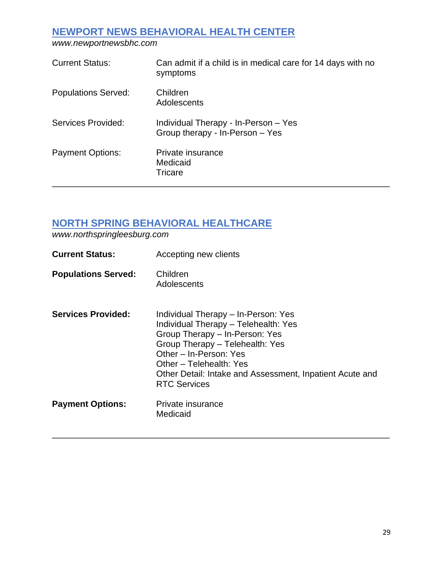## **NEWPORT NEWS BEHAVIORAL HEALTH CENTER**

*www.newportnewsbhc.com*

| <b>Current Status:</b>     | Can admit if a child is in medical care for 14 days with no<br>symptoms |
|----------------------------|-------------------------------------------------------------------------|
| <b>Populations Served:</b> | Children<br>Adolescents                                                 |
| Services Provided:         | Individual Therapy - In-Person - Yes<br>Group therapy - In-Person - Yes |
| <b>Payment Options:</b>    | Private insurance<br>Medicaid<br><b>Tricare</b>                         |

## **NORTH SPRING BEHAVIORAL HEALTHCARE**

*www.northspringleesburg.com*

| <b>Current Status:</b>     | Accepting new clients                                                                                                                                                                                                                                                                    |
|----------------------------|------------------------------------------------------------------------------------------------------------------------------------------------------------------------------------------------------------------------------------------------------------------------------------------|
| <b>Populations Served:</b> | Children<br>Adolescents                                                                                                                                                                                                                                                                  |
| <b>Services Provided:</b>  | Individual Therapy - In-Person: Yes<br>Individual Therapy - Telehealth: Yes<br>Group Therapy - In-Person: Yes<br>Group Therapy - Telehealth: Yes<br>Other - In-Person: Yes<br>Other - Telehealth: Yes<br>Other Detail: Intake and Assessment, Inpatient Acute and<br><b>RTC Services</b> |
| <b>Payment Options:</b>    | Private insurance<br>Medicaid                                                                                                                                                                                                                                                            |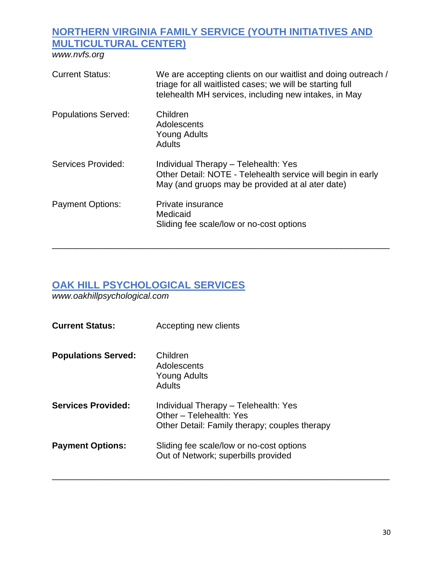# **NORTHERN VIRGINIA FAMILY SERVICE (YOUTH INITIATIVES AND MULTICULTURAL CENTER)**

*www.nvfs.org*

| <b>Current Status:</b>     | We are accepting clients on our waitlist and doing outreach /<br>triage for all waitlisted cases; we will be starting full<br>telehealth MH services, including new intakes, in May |
|----------------------------|-------------------------------------------------------------------------------------------------------------------------------------------------------------------------------------|
| <b>Populations Served:</b> | Children<br>Adolescents<br>Young Adults<br>Adults                                                                                                                                   |
| Services Provided:         | Individual Therapy - Telehealth: Yes<br>Other Detail: NOTE - Telehealth service will begin in early<br>May (and gruops may be provided at al ater date)                             |
| <b>Payment Options:</b>    | Private insurance<br>Medicaid<br>Sliding fee scale/low or no-cost options                                                                                                           |

\_\_\_\_\_\_\_\_\_\_\_\_\_\_\_\_\_\_\_\_\_\_\_\_\_\_\_\_\_\_\_\_\_\_\_\_\_\_\_\_\_\_\_\_\_\_\_\_\_\_\_\_\_\_\_\_\_\_\_\_\_\_\_\_\_\_\_\_\_\_

# **OAK HILL PSYCHOLOGICAL SERVICES**

*www.oakhillpsychological.com*

| <b>Current Status:</b>     | Accepting new clients                                                                                            |
|----------------------------|------------------------------------------------------------------------------------------------------------------|
| <b>Populations Served:</b> | Children<br>Adolescents<br><b>Young Adults</b><br>Adults                                                         |
| <b>Services Provided:</b>  | Individual Therapy - Telehealth: Yes<br>Other - Telehealth: Yes<br>Other Detail: Family therapy; couples therapy |
| <b>Payment Options:</b>    | Sliding fee scale/low or no-cost options<br>Out of Network; superbills provided                                  |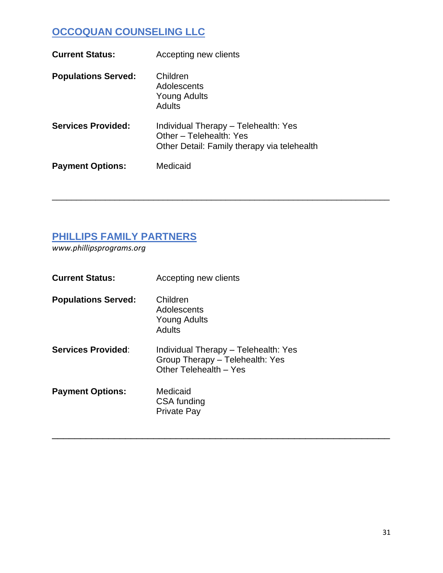# **OCCOQUAN COUNSELING LLC**

| <b>Current Status:</b>     | Accepting new clients                                                                                          |
|----------------------------|----------------------------------------------------------------------------------------------------------------|
| <b>Populations Served:</b> | Children<br>Adolescents<br>Young Adults<br>Adults                                                              |
| <b>Services Provided:</b>  | Individual Therapy - Telehealth: Yes<br>Other - Telehealth: Yes<br>Other Detail: Family therapy via telehealth |
| <b>Payment Options:</b>    | Medicaid                                                                                                       |

\_\_\_\_\_\_\_\_\_\_\_\_\_\_\_\_\_\_\_\_\_\_\_\_\_\_\_\_\_\_\_\_\_\_\_\_\_\_\_\_\_\_\_\_\_\_\_\_\_\_\_\_\_\_\_\_\_\_\_\_\_\_\_\_\_\_\_\_\_\_

\_\_\_\_\_\_\_\_\_\_\_\_\_\_\_\_\_\_\_\_\_\_\_\_\_\_\_\_\_\_\_\_\_\_\_\_\_\_\_\_\_\_\_\_\_\_\_\_\_\_\_\_\_\_\_\_\_\_\_\_

#### **PHILLIPS FAMILY PARTNERS**

*www.phillipsprograms.org*

| <b>Current Status:</b>     | Accepting new clients                                                                             |
|----------------------------|---------------------------------------------------------------------------------------------------|
| <b>Populations Served:</b> | Children<br>Adolescents<br>Young Adults<br>Adults                                                 |
| <b>Services Provided:</b>  | Individual Therapy - Telehealth: Yes<br>Group Therapy - Telehealth: Yes<br>Other Telehealth - Yes |
| <b>Payment Options:</b>    | Medicaid<br>CSA funding<br><b>Private Pay</b>                                                     |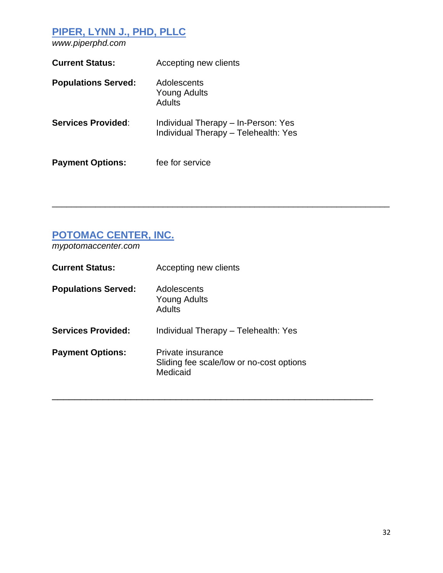# **PIPER, LYNN J., PHD, PLLC**

*www.piperphd.com*

| <b>Current Status:</b>     | Accepting new clients                                                       |
|----------------------------|-----------------------------------------------------------------------------|
| <b>Populations Served:</b> | Adolescents<br><b>Young Adults</b><br>Adults                                |
| <b>Services Provided:</b>  | Individual Therapy - In-Person: Yes<br>Individual Therapy - Telehealth: Yes |
| <b>Payment Options:</b>    | fee for service                                                             |

# **POTOMAC CENTER, INC.**

*mypotomaccenter.com*

| <b>Current Status:</b>     | Accepting new clients                                                     |
|----------------------------|---------------------------------------------------------------------------|
| <b>Populations Served:</b> | Adolescents<br>Young Adults<br><b>Adults</b>                              |
| <b>Services Provided:</b>  | Individual Therapy - Telehealth: Yes                                      |
| <b>Payment Options:</b>    | Private insurance<br>Sliding fee scale/low or no-cost options<br>Medicaid |

\_\_\_\_\_\_\_\_\_\_\_\_\_\_\_\_\_\_\_\_\_\_\_\_\_\_\_\_\_\_\_\_\_\_\_\_\_\_\_\_\_\_\_\_\_\_\_\_\_\_\_\_\_\_\_\_\_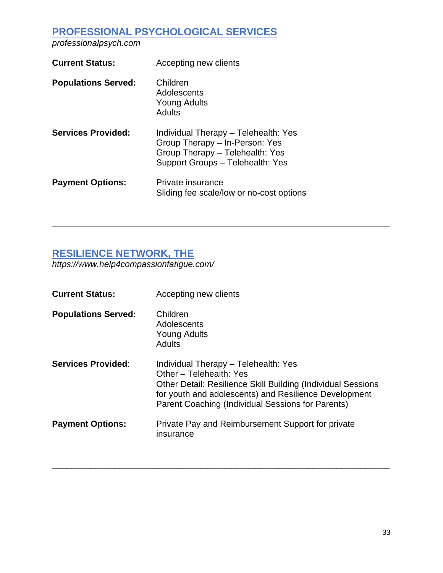# **PROFESSIONAL PSYCHOLOGICAL SERVICES**

*professionalpsych.com*

| <b>Current Status:</b>     | Accepting new clients                                                                                                                         |
|----------------------------|-----------------------------------------------------------------------------------------------------------------------------------------------|
| <b>Populations Served:</b> | Children<br>Adolescents<br><b>Young Adults</b><br>Adults                                                                                      |
| <b>Services Provided:</b>  | Individual Therapy - Telehealth: Yes<br>Group Therapy - In-Person: Yes<br>Group Therapy - Telehealth: Yes<br>Support Groups - Telehealth: Yes |
| <b>Payment Options:</b>    | Private insurance<br>Sliding fee scale/low or no-cost options                                                                                 |

#### **RESILIENCE NETWORK, THE**

*https://www.help4compassionfatigue.com/*

| <b>Current Status:</b>     | Accepting new clients                                                                                                                                                                                                                         |
|----------------------------|-----------------------------------------------------------------------------------------------------------------------------------------------------------------------------------------------------------------------------------------------|
| <b>Populations Served:</b> | Children<br>Adolescents<br>Young Adults<br><b>Adults</b>                                                                                                                                                                                      |
| <b>Services Provided:</b>  | Individual Therapy - Telehealth: Yes<br>Other - Telehealth: Yes<br>Other Detail: Resilience Skill Building (Individual Sessions<br>for youth and adolescents) and Resilience Development<br>Parent Coaching (Individual Sessions for Parents) |
| <b>Payment Options:</b>    | Private Pay and Reimbursement Support for private<br>insurance                                                                                                                                                                                |

\_\_\_\_\_\_\_\_\_\_\_\_\_\_\_\_\_\_\_\_\_\_\_\_\_\_\_\_\_\_\_\_\_\_\_\_\_\_\_\_\_\_\_\_\_\_\_\_\_\_\_\_\_\_\_\_\_\_\_\_\_\_\_\_\_\_\_\_\_\_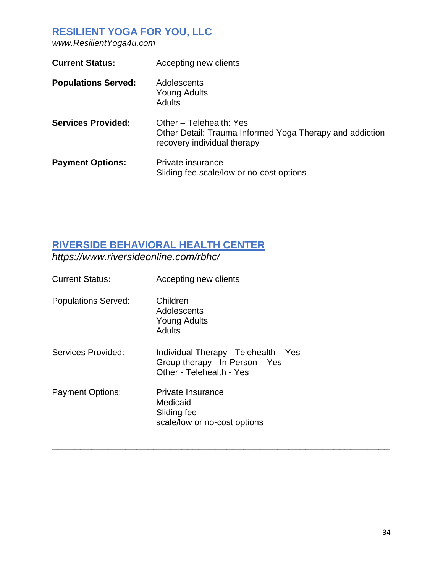# **RESILIENT YOGA FOR YOU, LLC**

*www.ResilientYoga4u.com*

| <b>Current Status:</b>     | Accepting new clients                                                                                              |
|----------------------------|--------------------------------------------------------------------------------------------------------------------|
| <b>Populations Served:</b> | Adolescents<br><b>Young Adults</b><br><b>Adults</b>                                                                |
| <b>Services Provided:</b>  | Other - Telehealth: Yes<br>Other Detail: Trauma Informed Yoga Therapy and addiction<br>recovery individual therapy |
| <b>Payment Options:</b>    | Private insurance<br>Sliding fee scale/low or no-cost options                                                      |

\_\_\_\_\_\_\_\_\_\_\_\_\_\_\_\_\_\_\_\_\_\_\_\_\_\_\_\_\_\_\_\_\_\_\_\_\_\_\_\_\_\_\_\_\_\_\_\_\_\_\_\_\_\_\_\_\_\_\_\_\_\_\_\_\_\_\_\_\_\_

\_\_\_\_\_\_\_\_\_\_\_\_\_\_\_\_\_\_\_\_\_\_\_\_\_\_\_\_\_\_\_\_\_\_\_\_\_\_\_\_\_\_\_\_\_\_\_\_\_\_\_\_\_\_\_\_\_\_\_\_

## **RIVERSIDE BEHAVIORAL HEALTH CENTER**

*https://www.riversideonline.com/rbhc/*

| <b>Current Status:</b>     | Accepting new clients                                                                                |
|----------------------------|------------------------------------------------------------------------------------------------------|
| <b>Populations Served:</b> | Children<br>Adolescents<br><b>Young Adults</b><br>Adults                                             |
| Services Provided:         | Individual Therapy - Telehealth – Yes<br>Group therapy - In-Person - Yes<br>Other - Telehealth - Yes |
| <b>Payment Options:</b>    | Private Insurance<br>Medicaid<br>Sliding fee<br>scale/low or no-cost options                         |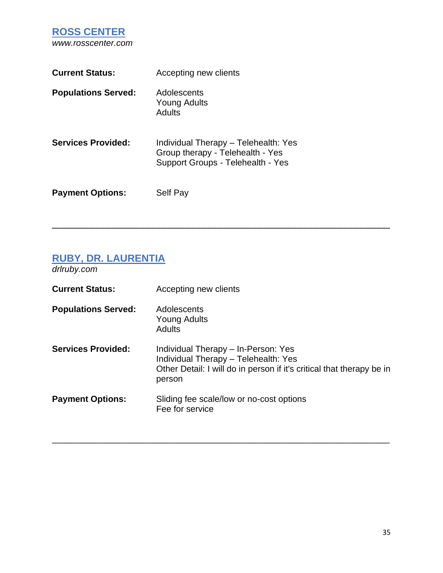**ROSS CENTER** *www.rosscenter.com*

| <b>Current Status:</b>     | Accepting new clients                                                                                         |
|----------------------------|---------------------------------------------------------------------------------------------------------------|
| <b>Populations Served:</b> | Adolescents<br>Young Adults<br>Adults                                                                         |
| <b>Services Provided:</b>  | Individual Therapy - Telehealth: Yes<br>Group therapy - Telehealth - Yes<br>Support Groups - Telehealth - Yes |
| <b>Payment Options:</b>    | Self Pay                                                                                                      |

## **RUBY, DR. LAURENTIA**

*drlruby.com*

| <b>Current Status:</b>     | Accepting new clients                                                                                                                                          |
|----------------------------|----------------------------------------------------------------------------------------------------------------------------------------------------------------|
| <b>Populations Served:</b> | Adolescents<br>Young Adults<br>Adults                                                                                                                          |
| <b>Services Provided:</b>  | Individual Therapy - In-Person: Yes<br>Individual Therapy - Telehealth: Yes<br>Other Detail: I will do in person if it's critical that therapy be in<br>person |
| <b>Payment Options:</b>    | Sliding fee scale/low or no-cost options<br>Fee for service                                                                                                    |

\_\_\_\_\_\_\_\_\_\_\_\_\_\_\_\_\_\_\_\_\_\_\_\_\_\_\_\_\_\_\_\_\_\_\_\_\_\_\_\_\_\_\_\_\_\_\_\_\_\_\_\_\_\_\_\_\_\_\_\_\_\_\_\_\_\_\_\_\_\_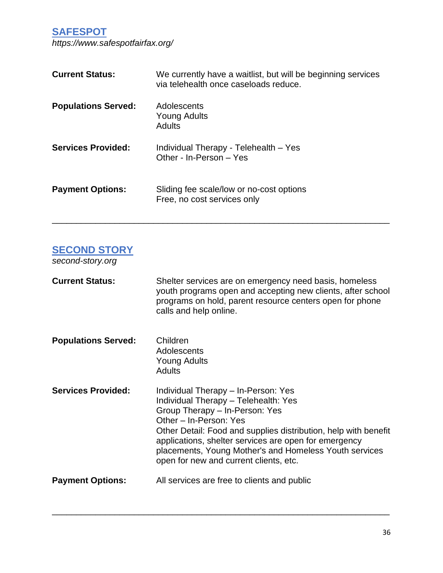**SAFESPOT**

*https://www.safespotfairfax.org/*

| <b>Current Status:</b>     | We currently have a waitlist, but will be beginning services<br>via telehealth once caseloads reduce. |
|----------------------------|-------------------------------------------------------------------------------------------------------|
| <b>Populations Served:</b> | Adolescents<br><b>Young Adults</b><br><b>Adults</b>                                                   |
| <b>Services Provided:</b>  | Individual Therapy - Telehealth - Yes<br>Other - In-Person - Yes                                      |
| <b>Payment Options:</b>    | Sliding fee scale/low or no-cost options<br>Free, no cost services only                               |

\_\_\_\_\_\_\_\_\_\_\_\_\_\_\_\_\_\_\_\_\_\_\_\_\_\_\_\_\_\_\_\_\_\_\_\_\_\_\_\_\_\_\_\_\_\_\_\_\_\_\_\_\_\_\_\_\_\_\_\_\_\_\_\_\_\_\_\_\_\_

### **SECOND STORY**

*second-story.org*

| <b>Current Status:</b>     | Shelter services are on emergency need basis, homeless<br>youth programs open and accepting new clients, after school<br>programs on hold, parent resource centers open for phone<br>calls and help online.                                                                                                                                                             |
|----------------------------|-------------------------------------------------------------------------------------------------------------------------------------------------------------------------------------------------------------------------------------------------------------------------------------------------------------------------------------------------------------------------|
| <b>Populations Served:</b> | Children<br>Adolescents<br>Young Adults<br><b>Adults</b>                                                                                                                                                                                                                                                                                                                |
| <b>Services Provided:</b>  | Individual Therapy - In-Person: Yes<br>Individual Therapy - Telehealth: Yes<br>Group Therapy - In-Person: Yes<br>Other - In-Person: Yes<br>Other Detail: Food and supplies distribution, help with benefit<br>applications, shelter services are open for emergency<br>placements, Young Mother's and Homeless Youth services<br>open for new and current clients, etc. |
| <b>Payment Options:</b>    | All services are free to clients and public                                                                                                                                                                                                                                                                                                                             |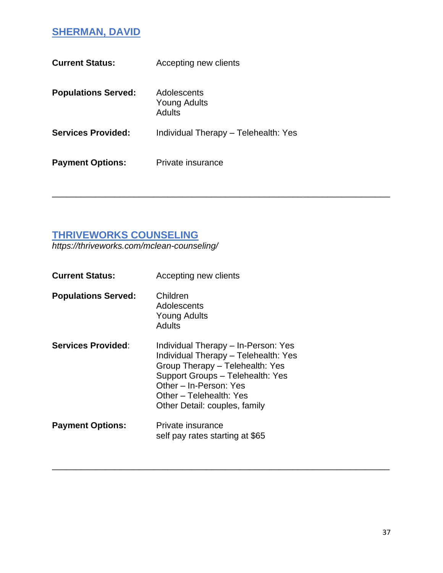# **SHERMAN, DAVID**

| <b>Current Status:</b>     | Accepting new clients                 |
|----------------------------|---------------------------------------|
| <b>Populations Served:</b> | Adolescents<br>Young Adults<br>Adults |
| <b>Services Provided:</b>  | Individual Therapy - Telehealth: Yes  |
| <b>Payment Options:</b>    | Private insurance                     |

\_\_\_\_\_\_\_\_\_\_\_\_\_\_\_\_\_\_\_\_\_\_\_\_\_\_\_\_\_\_\_\_\_\_\_\_\_\_\_\_\_\_\_\_\_\_\_\_\_\_\_\_\_\_\_\_\_\_\_\_\_\_\_\_\_\_\_\_\_\_

\_\_\_\_\_\_\_\_\_\_\_\_\_\_\_\_\_\_\_\_\_\_\_\_\_\_\_\_\_\_\_\_\_\_\_\_\_\_\_\_\_\_\_\_\_\_\_\_\_\_\_\_\_\_\_\_\_\_\_\_\_\_\_\_\_\_\_\_\_\_

### **THRIVEWORKS COUNSELING**

*https://thriveworks.com/mclean-counseling/*

| Accepting new clients                                                                                                                                                                                                                    |
|------------------------------------------------------------------------------------------------------------------------------------------------------------------------------------------------------------------------------------------|
| Children<br>Adolescents<br><b>Young Adults</b><br>Adults                                                                                                                                                                                 |
| Individual Therapy – In-Person: Yes<br>Individual Therapy - Telehealth: Yes<br>Group Therapy - Telehealth: Yes<br>Support Groups - Telehealth: Yes<br>Other - In-Person: Yes<br>Other – Telehealth: Yes<br>Other Detail: couples, family |
| Private insurance<br>self pay rates starting at \$65                                                                                                                                                                                     |
|                                                                                                                                                                                                                                          |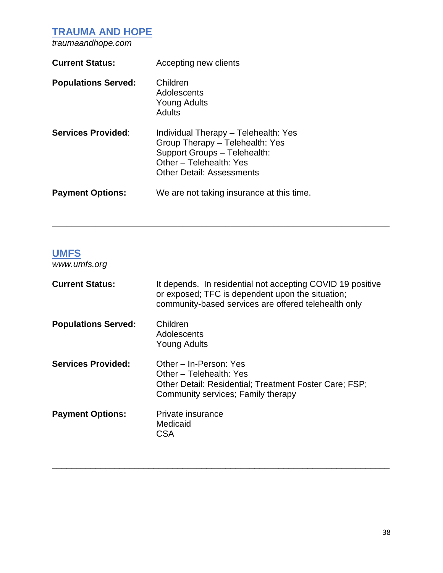**TRAUMA AND HOPE**

*traumaandhope.com*

| <b>Current Status:</b>     | Accepting new clients                                                                                                                                                  |
|----------------------------|------------------------------------------------------------------------------------------------------------------------------------------------------------------------|
| <b>Populations Served:</b> | Children<br>Adolescents<br><b>Young Adults</b><br>Adults                                                                                                               |
| <b>Services Provided:</b>  | Individual Therapy - Telehealth: Yes<br>Group Therapy - Telehealth: Yes<br>Support Groups - Telehealth:<br>Other - Telehealth: Yes<br><b>Other Detail: Assessments</b> |
| <b>Payment Options:</b>    | We are not taking insurance at this time.                                                                                                                              |

# **UMFS**

*www.umfs.org*

| <b>Current Status:</b>     | It depends. In residential not accepting COVID 19 positive<br>or exposed; TFC is dependent upon the situation;<br>community-based services are offered telehealth only |
|----------------------------|------------------------------------------------------------------------------------------------------------------------------------------------------------------------|
| <b>Populations Served:</b> | Children<br>Adolescents<br>Young Adults                                                                                                                                |
| <b>Services Provided:</b>  | Other - In-Person: Yes<br>Other - Telehealth: Yes<br>Other Detail: Residential; Treatment Foster Care; FSP;<br>Community services; Family therapy                      |
| <b>Payment Options:</b>    | Private insurance<br>Medicaid<br>CSA                                                                                                                                   |

\_\_\_\_\_\_\_\_\_\_\_\_\_\_\_\_\_\_\_\_\_\_\_\_\_\_\_\_\_\_\_\_\_\_\_\_\_\_\_\_\_\_\_\_\_\_\_\_\_\_\_\_\_\_\_\_\_\_\_\_\_\_\_\_\_\_\_\_\_\_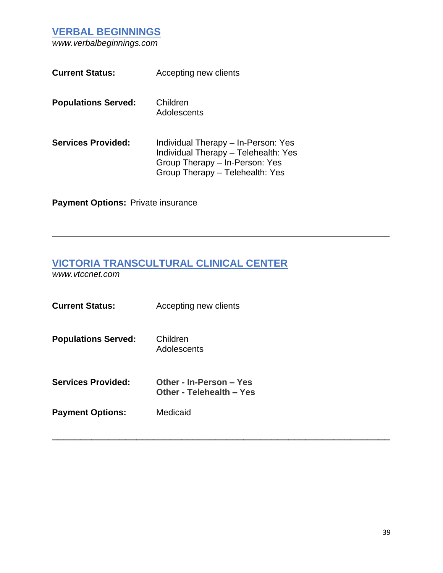**VERBAL BEGINNINGS**

*www.verbalbeginnings.com*

| <b>Current Status:</b>     | Accepting new clients                                                                                                                            |
|----------------------------|--------------------------------------------------------------------------------------------------------------------------------------------------|
| <b>Populations Served:</b> | Children<br>Adolescents                                                                                                                          |
| <b>Services Provided:</b>  | Individual Therapy – In-Person: Yes<br>Individual Therapy - Telehealth: Yes<br>Group Therapy - In-Person: Yes<br>Group Therapy - Telehealth: Yes |

**Payment Options: Private insurance** 

# **VICTORIA TRANSCULTURAL CLINICAL CENTER**

\_\_\_\_\_\_\_\_\_\_\_\_\_\_\_\_\_\_\_\_\_\_\_\_\_\_\_\_\_\_\_\_\_\_\_\_\_\_\_\_\_\_\_\_\_\_\_\_\_\_\_\_\_\_\_\_\_\_\_\_\_\_\_\_\_\_\_\_\_\_

\_\_\_\_\_\_\_\_\_\_\_\_\_\_\_\_\_\_\_\_\_\_\_\_\_\_\_\_\_\_\_\_\_\_\_\_\_\_\_\_\_\_\_\_\_\_\_\_\_\_\_\_\_\_\_\_\_\_\_\_

*www.vtccnet.com*

| <b>Current Status:</b>     | Accepting new clients                               |
|----------------------------|-----------------------------------------------------|
| <b>Populations Served:</b> | Children<br>Adolescents                             |
| <b>Services Provided:</b>  | Other - In-Person – Yes<br>Other - Telehealth – Yes |
| <b>Payment Options:</b>    | Medicaid                                            |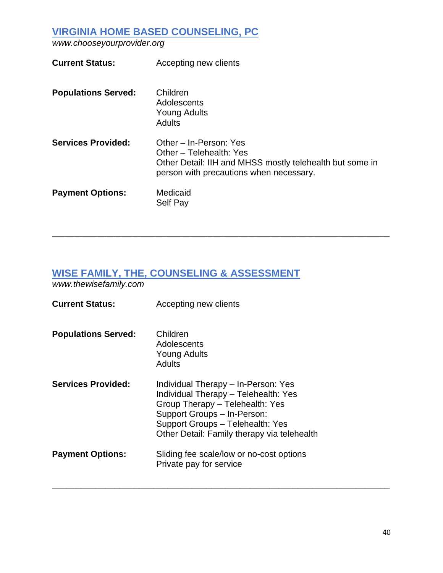### **VIRGINIA HOME BASED COUNSELING, PC**

*www.chooseyourprovider.org*

| <b>Current Status:</b>     | Accepting new clients                                                                                                                                    |
|----------------------------|----------------------------------------------------------------------------------------------------------------------------------------------------------|
| <b>Populations Served:</b> | Children<br>Adolescents<br><b>Young Adults</b><br>Adults                                                                                                 |
| <b>Services Provided:</b>  | Other – In-Person: Yes<br>Other – Telehealth: Yes<br>Other Detail: IIH and MHSS mostly telehealth but some in<br>person with precautions when necessary. |
| <b>Payment Options:</b>    | Medicaid<br><b>Self Pay</b>                                                                                                                              |

\_\_\_\_\_\_\_\_\_\_\_\_\_\_\_\_\_\_\_\_\_\_\_\_\_\_\_\_\_\_\_\_\_\_\_\_\_\_\_\_\_\_\_\_\_\_\_\_\_\_\_\_\_\_\_\_\_\_\_\_\_\_\_\_\_\_\_\_\_\_

\_\_\_\_\_\_\_\_\_\_\_\_\_\_\_\_\_\_\_\_\_\_\_\_\_\_\_\_\_\_\_\_\_\_\_\_\_\_\_\_\_\_\_\_\_\_\_\_\_\_\_\_\_\_\_\_\_\_\_\_\_\_\_\_\_\_\_\_\_\_

# **WISE FAMILY, THE, COUNSELING & ASSESSMENT**

*www.thewisefamily.com*

| Accepting new clients                                                                                                                                                                                                            |
|----------------------------------------------------------------------------------------------------------------------------------------------------------------------------------------------------------------------------------|
| Children<br>Adolescents<br><b>Young Adults</b><br><b>Adults</b>                                                                                                                                                                  |
| Individual Therapy – In-Person: Yes<br>Individual Therapy - Telehealth: Yes<br>Group Therapy - Telehealth: Yes<br>Support Groups - In-Person:<br>Support Groups - Telehealth: Yes<br>Other Detail: Family therapy via telehealth |
| Sliding fee scale/low or no-cost options<br>Private pay for service                                                                                                                                                              |
|                                                                                                                                                                                                                                  |